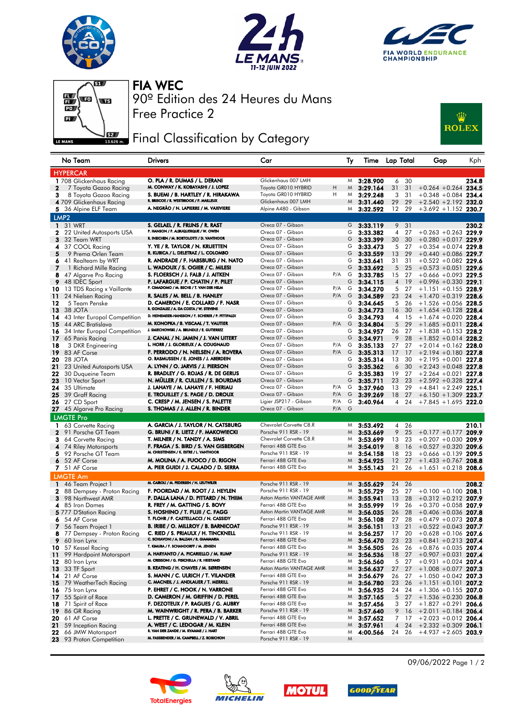







Free Practice 2 90º Edition des 24 Heures du Mans FIA WEC

## **Fig. 4** Final Classification by Category



| <b>HYPERCAR</b><br>O. PLA / R. DUMAS / L. DERANI<br>30<br>1 708 Glickenhaus Racing<br>Glickenhaus 007 LMH<br>3:28.900<br>6<br>M<br>M. CONWAY / K. KOBAYASHI / J. LOPEZ<br>Toyota GR010 HYBRID<br>Η<br>31<br>3:29.164<br>31<br>$+0.264 + 0.264$ 234.5<br>$\mathbf{z}$<br>7 Toyota Gazoo Racing<br>M<br>Η<br>8 Toyota Gazoo Racing<br>S. BUEMI / B. HARTLEY / R. HIRAKAWA<br>Toyota GR010 HYBRID<br>3:29.248<br>3<br>31<br>$+0.348 + 0.084$ 234.4<br>з<br>M<br>R. BRISCOE / R. WESTBROOK / F. MAILLEUX<br>29<br>29<br>Glickenhaus 007 LMH<br>$+2.540 + 2.192$ 232.0<br>4 709 Glickenhaus Racing<br>M<br>3:31.440<br>A. NEGRÃO / N. LAPIERRE / M. VAXIVIERE<br>5 36 Alpine ELF Team<br>Alpine A480 - Gibson<br>3:32.592<br>12<br>29<br>$+3.692 + 1.152$ 230.7<br>M<br>LMP <sub>2</sub><br>S. GELAEL / R. FRIJNS / R. RAST<br>Oreca 07 - Gibson<br><b>1</b> 31 WRT<br>G<br>3:33.119<br>9 31<br>P. HANSON / F. ALBUQUERQUE / W. OWEN<br>Oreca 07 - Gibson<br>27<br>$+0.263 + 0.263$ 229.9<br>22 United Autosports USA<br>G<br>3:33.382<br>4<br>2<br>R. INEICHEN / M. BORTOLOTTI / D. VANTHOOR<br>Oreca 07 - Gibson<br>G<br>3<br>3:33.399<br>30<br>30<br>$+0.280 + 0.017$ 229.9<br>32 Team WRT<br>Y. YE / R. TAYLOR / N. KRUETTEN<br>Oreca 07 - Gibson<br>37 COOL Racing<br>G<br>3:33.473<br>5<br>27<br>$+0.354 + 0.074$ 229.8<br>4<br>R. KUBICA / L. DELETRAZ / L. COLOMBO<br>Oreca 07 - Gibson<br>5<br>G<br>3:33.559<br>13<br>29<br>$+0.440 + 0.086$ 229.7<br>9 Prema Orlen Team<br>R. ANDRADE / F. HABSBURG / N. NATO<br>Oreca 07 - Gibson<br>31<br>$+0.522 + 0.082$ 229.6<br>G<br>3:33.641<br>31<br>41 Realteam by WRT<br>6<br>Oreca 07 - Gibson<br>G<br>7<br>L. WADOUX / S. OGIER / C. MILESI<br>3:33.692<br>5<br>25<br>$+0.573 +0.051$ 229.6<br>1 Richard Mille Racing<br>S. FLOERSCH / J. FALB / J. AITKEN<br>Oreca 07 - Gibson<br>P/A<br>G<br>3:33.785<br>15<br>27<br>$+0.666 + 0.093$ 229.5<br>8<br>47 Algarve Pro Racing<br>Oreca 07 - Gibson<br>G<br>9<br>48 IDEC Sport<br>P. LAFARGUE / P. CHATIN / P. PILET<br>3:34.115<br>$\overline{4}$<br>19<br>$+0.996 +0.330$ 229.1<br>P. CIMADOMO / M. BECHE / T. VAN DER HELM<br>Oreca 07 - Gibson<br>P/A<br>G<br>27<br>3:34.270<br>5<br>$+1.151 + 0.155$ 228.9<br>10<br>13 TDS Racing x Vaillante<br>P/A<br>R. SALES / M. BELL / B. HANLEY<br>Oreca 07 - Gibson<br>G<br>3:34.589<br>23<br>24<br>$+1.470 +0.319$ 228.6<br>11<br>24 Nielsen Racing<br>D. CAMERON / E. COLLARD / F. NASR<br>Oreca 07 - Gibson<br>12<br>G<br>3:34.645<br>5<br>26<br>$+1.526 + 0.056$ 228.5<br>5 Team Penske<br>R. GONZALEZ / A. DA COSTA / W. STEVENS<br>Oreca 07 - Gibson<br>13<br>38 JOTA<br>G<br>3:34.773<br>16<br>30<br>$+1.654 +0.128$ 228.4<br>D. HEINEMEIER-HANSSON / F. SCHERER / P. FITTIPALDI<br>Oreca 07 - Gibson<br>G<br>3:34.793<br>4<br>15<br>$+1.674 + 0.020$ 228.4<br>14<br>43 Inter Europol Competition<br>M. KONOPKA / B. VISCAAL / T. VAUTIER<br>Oreca 07 - Gibson<br>$P/A$ G<br>5<br>29<br>15<br>44 ARC Bratislava<br>3:34.804<br>$+1.685 +0.011$ 228.4<br>J. SMIECHOWSKI / A. BRUNDLE / E. GUTIERREZ<br>Oreca 07 - Gibson<br>G<br>34 Inter Europol Competition<br>3:34.957<br>26<br>27<br>$+1.838 + 0.153$ 228.2<br>16<br>Oreca 07 - Gibson<br>J. CANAL / N. JAMIN / J. VAN UITERT<br>G<br>3:34.971<br>9<br>28<br>$+1.852 +0.014$ 228.2<br>17<br>65 Panis Racing<br>L. HORR / J. GLORIEUX / A. COUGNAUD<br>Oreca 07 - Gibson<br>P/A<br>27<br>G<br>3:35.133<br>27<br>$+2.014 +0.162$ 228.0<br>18<br>3 DKR Engineering<br>P/A<br>F. PERRODO / N. NIELSEN / A. ROVERA<br>Oreca 07 - Gibson<br>G<br>19<br>83 AF Corse<br>3:35.313<br>17<br>17<br>$+2.194 + 0.180$ 227.8<br>O. RASMUSSEN / E. JONES / J. ABERDEIN<br>Oreca 07 - Gibson<br>20<br>28 JOTA<br>G<br>3:35.314<br>13<br>30<br>$+2.195 +0.001$ 227.8<br>A. LYNN / O. JARVIS / J. PIERSON<br>Oreca 07 - Gibson<br>23 United Autosports USA<br>G<br>3:35.362<br>6<br>30<br>$+2.243 + 0.048$ 227.8<br>21<br>R. BRADLEY / G. ROJAS / R. DE GERUS<br>Oreca 07 - Gibson<br>19<br>27<br>22<br>G<br>3:35.383<br>$+2.264 +0.021$ 227.8<br>30 Duqueine Team<br>N. MÜLLER / R. CULLEN / S. BOURDAIS<br>Oreca 07 - Gibson<br>G<br>3:35.711<br>23<br>23<br>$+2.592 + 0.328$ 227.4<br>23<br>10 Vector Sport<br>J. LAHAYE / M. LAHAYE / F. HERIAU<br>Oreca 07 - Gibson<br>P/A<br>3:37.960<br>G<br>13<br>29<br>$+4.841 + 2.249$ 225.1<br>24.<br>35 Ultimate<br>P/A<br>E. TROUILLET / S. PAGE / D. DROUX<br>Oreca 07 - Gibson<br>G<br>39 Graff Racing<br>3:39.269<br>18<br>27<br>$+6.150 + 1.309$ 223.7<br>25<br>C. CRESP / M. JENSEN / S. PALETTE<br>Ligier JSP217 - Gibson<br>P/A<br>G<br>3:40.964<br>24<br>$+7.845 + 1.695$ 222.0<br>26<br>27 CD Sport<br>4<br>P/A<br>G<br>S. THOMAS / J. ALLEN / R. BINDER<br>Oreca 07 - Gibson<br><b>27</b> 45 Algarve Pro Racing<br><b>LMGTE Pro</b><br>A. GARCIA / J. TAYLOR / N. CATSBURG<br>Chevrolet Corvette C8.R<br>3:53.492<br>26<br>63 Corvette Racing<br>M<br>4<br>1<br>G. BRUNI / R. LIETZ / F. MAKOWIECKI<br>Porsche 911 RSR - 19<br>9<br>25<br>3:53.669<br>$+0.177 +0.177$ 209.9<br>2<br>91 Porsche GT Team<br>M<br>T. MILNER / N. TANDY / A. SIMS<br>Chevrolet Corvette C8.R<br>3:53.699<br>13<br>23<br>$+0.207 +0.030$<br>64 Corvette Racing<br>з<br>M<br>F. FRAGA / S. BIRD / S. VAN GISBERGEN<br>Ferrari 488 GTE Evo<br>3:54.019<br>8<br>$+0.527 +0.320$ 209.6<br>4<br>74 Riley Motorsports<br>16<br>M.<br>M. CHRISTENSEN / K. ESTRE / L. VANTHOOR<br>23<br>92 Porsche GT Team<br>Porsche 911 RSR - 19<br>3:54.158<br>18<br>$+0.666 + 0.139$ 209.5<br>5<br>M<br>M. MOLINA / A. FUOCO / D. RIGON<br>12<br>27<br>6<br>52 AF Corse<br>Ferrari 488 GTE Evo<br>3:54.925<br>$+1.433 +0.767$ 208.8<br>M<br>7 51 AF Corse<br>A. PIER GUIDI / J. CALADO / D. SERRA<br>Ferrari 488 GTE Evo<br>3:55.143<br>21<br>26<br>$+1.651 + 0.218$ 208.6<br>M<br><b>LMGTE Am</b><br>M. CAIROLI / M. PEDERSEN / N. LEUTWILER<br>Porsche 911 RSR - 19<br>24<br>26<br>46 Team Project 1<br>3:55.629<br>1<br>M<br>F. POORDAD / M. ROOT / J. HEYLEN<br>Porsche 911 RSR - 19<br>3:55.729<br>25<br>27<br>$+0.100 +0.100$ 208.1<br>88 Dempsey - Proton Racing<br>2<br>M<br>Aston Martin VANTAGE AMR<br>13<br>98 Northwest AMR<br>P. DALLA LANA / D. PITTARD / N. THIIM<br>3:55.941<br>28<br>$+0.312 +0.212$ 207.9<br>3<br>M<br>R. FREY / M. GATTING / S. BOVY<br>Ferrari 488 GTE Evo<br>3:55.999<br>19<br>26<br>4 85 Iron Dames<br>$+0.370 +0.058$ 207.9<br>M<br>S. HOSHINO / T. FUJII / C. FAGG<br>Aston Martin VANTAGE AMR<br>26<br>28<br>5 777 D'Station Racina<br>3:56.035<br>$+0.406 + 0.036$ 207.8<br>M<br>T. FLOHR / F. CASTELLACCI / N. CASSIDY<br>6 54 AF Corse<br>Ferrari 488 GTE Evo<br>27<br>28<br>$+0.479 + 0.073$ 207.8<br>3:56.108<br>M<br><b>B. IRIBE / O. MILLROY / B. BARNICOAT</b><br>Porsche 911 RSR - 19<br>13<br>21<br>$+0.522 + 0.043$ 207.7<br>56 Team Project 1<br>M<br>3:56.151<br>7.<br>77 Dempsey - Proton Racing<br>C. RIED / S. PRIAULX / H. TINCKNELL<br>Porsche 911 RSR - 19<br>M<br>3:56.257<br>17<br>20<br>$+0.628 + 0.106$ 207.6<br>8<br>C. SCHIAVONI / A. BALZAN / R. GIAMMARIA<br>Ferrari 488 GTE Evo<br>9 60 Iron Lynx<br>M<br>3:56.470<br>23<br>23<br>$+0.841 + 0.213$ 207.4<br>T. KIMURA / F. SCHANDORFF / M. JENSEN<br>57 Kessel Racing<br>Ferrari 488 GTE Evo<br>26<br>$+0.876 + 0.035$ 207.4<br>3:56.505<br>26<br>10.<br>M<br>A. HARYANTO / A. PICARIELLO / M. RUMP<br>99 Hardpoint Motorsport<br>Porsche 911 RSR - 19<br>18 27<br>3:56.536<br>$+0.907 +0.031$ 207.4<br>11<br>M<br>M. CRESSONI / G. FISICHELLA / R. HEISTAND<br>80 Iron Lynx<br>Ferrari 488 GTE Evo<br>5 <sup>5</sup><br>3:56.560<br>27<br>$+0.931 + 0.024$ 207.4<br>12.<br>M<br>B. KEATING / H. CHAVES / M. SØRENSEN<br>33 TF Sport<br>Aston Martin VANTAGE AMR<br>27<br>3:56.637<br>27<br>$+1.008 + 0.077$ 207.3<br>13<br>M<br><b>14</b> 21 AF Corse<br>S. MANN / C. ULRICH / T. VILANDER<br>Ferrari 488 GTE Evo<br>$+1.050 + 0.042$ 207.3<br>3:56.679<br>26 27<br>M<br>C. MACNEIL / J. ANDLAUER / T. MERRILL<br>79 WeatherTech Racing<br>Porsche 911 RSR - 19<br>23<br>15<br>3:56.780<br>26<br>$+1.151 +0.101$ 207.2<br>M<br>P. EHRET / C. HOOK / N. VARRONE<br>Ferrari 488 GTE Evo<br><b>16</b> 75 Iron Lynx<br>3:56.935<br>24<br>24<br>$+1.306 +0.155$ 207.0<br>M<br>D. CAMERON / M. GRIFFIN / D. PEREL<br>Ferrari 488 GTE Evo<br>5 27<br>55 Spirit of Race<br>3:57.165<br>$+1.536 + 0.230$ 206.8<br>17<br>M<br>71 Spirit of Race<br>F. DEZOTEUX / P. RAGUES / G. AUBRY<br>Ferrari 488 GTE Evo<br>$+1.827 +0.291$ 206.6<br>3:57.456<br>3<br>27<br>18<br>M<br>86 GR Racing<br>M. WAINWRIGHT / R. PERA / B. BARKER<br>Porsche 911 RSR - 19<br>9<br>$+2.011 + 0.184$ 206.4<br>3:57.640<br>16<br>19.<br>M<br>61 AF Corse<br>L. PRETTE / C. GRUNEWALD / V. ABRIL<br>Ferrari 488 GTE Evo<br>$+2.023 +0.012$ 206.4<br>20<br>3:57.652<br>7 17<br>M | No Team | <b>Drivers</b>                  | Car | Ty | Time Lap Total | Gap | Kph   |
|-----------------------------------------------------------------------------------------------------------------------------------------------------------------------------------------------------------------------------------------------------------------------------------------------------------------------------------------------------------------------------------------------------------------------------------------------------------------------------------------------------------------------------------------------------------------------------------------------------------------------------------------------------------------------------------------------------------------------------------------------------------------------------------------------------------------------------------------------------------------------------------------------------------------------------------------------------------------------------------------------------------------------------------------------------------------------------------------------------------------------------------------------------------------------------------------------------------------------------------------------------------------------------------------------------------------------------------------------------------------------------------------------------------------------------------------------------------------------------------------------------------------------------------------------------------------------------------------------------------------------------------------------------------------------------------------------------------------------------------------------------------------------------------------------------------------------------------------------------------------------------------------------------------------------------------------------------------------------------------------------------------------------------------------------------------------------------------------------------------------------------------------------------------------------------------------------------------------------------------------------------------------------------------------------------------------------------------------------------------------------------------------------------------------------------------------------------------------------------------------------------------------------------------------------------------------------------------------------------------------------------------------------------------------------------------------------------------------------------------------------------------------------------------------------------------------------------------------------------------------------------------------------------------------------------------------------------------------------------------------------------------------------------------------------------------------------------------------------------------------------------------------------------------------------------------------------------------------------------------------------------------------------------------------------------------------------------------------------------------------------------------------------------------------------------------------------------------------------------------------------------------------------------------------------------------------------------------------------------------------------------------------------------------------------------------------------------------------------------------------------------------------------------------------------------------------------------------------------------------------------------------------------------------------------------------------------------------------------------------------------------------------------------------------------------------------------------------------------------------------------------------------------------------------------------------------------------------------------------------------------------------------------------------------------------------------------------------------------------------------------------------------------------------------------------------------------------------------------------------------------------------------------------------------------------------------------------------------------------------------------------------------------------------------------------------------------------------------------------------------------------------------------------------------------------------------------------------------------------------------------------------------------------------------------------------------------------------------------------------------------------------------------------------------------------------------------------------------------------------------------------------------------------------------------------------------------------------------------------------------------------------------------------------------------------------------------------------------------------------------------------------------------------------------------------------------------------------------------------------------------------------------------------------------------------------------------------------------------------------------------------------------------------------------------------------------------------------------------------------------------------------------------------------------------------------------------------------------------------------------------------------------------------------------------------------------------------------------------------------------------------------------------------------------------------------------------------------------------------------------------------------------------------------------------------------------------------------------------------------------------------------------------------------------------------------------------------------------------------------------------------------------------------------------------------------------------------------------------------------------------------------------------------------------------------------------------------------------------------------------------------------------------------------------------------------------------------------------------------------------------------------------------------------------------------------------------------------------------------------------------------------------------------------------------------------------------------------------------------------------------------------------------------------------------------------------------------------------------------------------------------------------------------------------------------------------------------------------------------------------------------------------------------------------------------------------------------------------------------------------------------------------------------------------------------------------------------------------------------------------------------------------------------------------------------------------------------------------------------------------------------------------------------------------------------------------------------------------------------------------------------------------------------------------------------------------------------------------------------------------------------------------------------------------------------------------------------------------------------------------------------------------------------------------------------------------------------------------------------------------------------------------------------------------------------------------------------------------------------------------------------------------------------------------------------------------------------------------------------------------------------------------------------------------------------------------------------------------------------------------------------------------------------------------------------------------------------------------------------------------------------------------------------------------------------------------------------------------------------------------------------------------------|---------|---------------------------------|-----|----|----------------|-----|-------|
|                                                                                                                                                                                                                                                                                                                                                                                                                                                                                                                                                                                                                                                                                                                                                                                                                                                                                                                                                                                                                                                                                                                                                                                                                                                                                                                                                                                                                                                                                                                                                                                                                                                                                                                                                                                                                                                                                                                                                                                                                                                                                                                                                                                                                                                                                                                                                                                                                                                                                                                                                                                                                                                                                                                                                                                                                                                                                                                                                                                                                                                                                                                                                                                                                                                                                                                                                                                                                                                                                                                                                                                                                                                                                                                                                                                                                                                                                                                                                                                                                                                                                                                                                                                                                                                                                                                                                                                                                                                                                                                                                                                                                                                                                                                                                                                                                                                                                                                                                                                                                                                                                                                                                                                                                                                                                                                                                                                                                                                                                                                                                                                                                                                                                                                                                                                                                                                                                                                                                                                                                                                                                                                                                                                                                                                                                                                                                                                                                                                                                                                                                                                                                                                                                                                                                                                                                                                                                                                                                                                                                                                                                                                                                                                                                                                                                                                                                                                                                                                                                                                                                                                                                                                                                                                                                                                                                                                                                                                                                                                                                                                                                                                                                                                                                                                                                                                                                                                                                                                                                                                                                                                                                                                                                                                                                                       |         |                                 |     |    |                |     |       |
|                                                                                                                                                                                                                                                                                                                                                                                                                                                                                                                                                                                                                                                                                                                                                                                                                                                                                                                                                                                                                                                                                                                                                                                                                                                                                                                                                                                                                                                                                                                                                                                                                                                                                                                                                                                                                                                                                                                                                                                                                                                                                                                                                                                                                                                                                                                                                                                                                                                                                                                                                                                                                                                                                                                                                                                                                                                                                                                                                                                                                                                                                                                                                                                                                                                                                                                                                                                                                                                                                                                                                                                                                                                                                                                                                                                                                                                                                                                                                                                                                                                                                                                                                                                                                                                                                                                                                                                                                                                                                                                                                                                                                                                                                                                                                                                                                                                                                                                                                                                                                                                                                                                                                                                                                                                                                                                                                                                                                                                                                                                                                                                                                                                                                                                                                                                                                                                                                                                                                                                                                                                                                                                                                                                                                                                                                                                                                                                                                                                                                                                                                                                                                                                                                                                                                                                                                                                                                                                                                                                                                                                                                                                                                                                                                                                                                                                                                                                                                                                                                                                                                                                                                                                                                                                                                                                                                                                                                                                                                                                                                                                                                                                                                                                                                                                                                                                                                                                                                                                                                                                                                                                                                                                                                                                                                                       |         |                                 |     |    |                |     | 234.8 |
|                                                                                                                                                                                                                                                                                                                                                                                                                                                                                                                                                                                                                                                                                                                                                                                                                                                                                                                                                                                                                                                                                                                                                                                                                                                                                                                                                                                                                                                                                                                                                                                                                                                                                                                                                                                                                                                                                                                                                                                                                                                                                                                                                                                                                                                                                                                                                                                                                                                                                                                                                                                                                                                                                                                                                                                                                                                                                                                                                                                                                                                                                                                                                                                                                                                                                                                                                                                                                                                                                                                                                                                                                                                                                                                                                                                                                                                                                                                                                                                                                                                                                                                                                                                                                                                                                                                                                                                                                                                                                                                                                                                                                                                                                                                                                                                                                                                                                                                                                                                                                                                                                                                                                                                                                                                                                                                                                                                                                                                                                                                                                                                                                                                                                                                                                                                                                                                                                                                                                                                                                                                                                                                                                                                                                                                                                                                                                                                                                                                                                                                                                                                                                                                                                                                                                                                                                                                                                                                                                                                                                                                                                                                                                                                                                                                                                                                                                                                                                                                                                                                                                                                                                                                                                                                                                                                                                                                                                                                                                                                                                                                                                                                                                                                                                                                                                                                                                                                                                                                                                                                                                                                                                                                                                                                                                                       |         |                                 |     |    |                |     |       |
|                                                                                                                                                                                                                                                                                                                                                                                                                                                                                                                                                                                                                                                                                                                                                                                                                                                                                                                                                                                                                                                                                                                                                                                                                                                                                                                                                                                                                                                                                                                                                                                                                                                                                                                                                                                                                                                                                                                                                                                                                                                                                                                                                                                                                                                                                                                                                                                                                                                                                                                                                                                                                                                                                                                                                                                                                                                                                                                                                                                                                                                                                                                                                                                                                                                                                                                                                                                                                                                                                                                                                                                                                                                                                                                                                                                                                                                                                                                                                                                                                                                                                                                                                                                                                                                                                                                                                                                                                                                                                                                                                                                                                                                                                                                                                                                                                                                                                                                                                                                                                                                                                                                                                                                                                                                                                                                                                                                                                                                                                                                                                                                                                                                                                                                                                                                                                                                                                                                                                                                                                                                                                                                                                                                                                                                                                                                                                                                                                                                                                                                                                                                                                                                                                                                                                                                                                                                                                                                                                                                                                                                                                                                                                                                                                                                                                                                                                                                                                                                                                                                                                                                                                                                                                                                                                                                                                                                                                                                                                                                                                                                                                                                                                                                                                                                                                                                                                                                                                                                                                                                                                                                                                                                                                                                                                                       |         |                                 |     |    |                |     |       |
|                                                                                                                                                                                                                                                                                                                                                                                                                                                                                                                                                                                                                                                                                                                                                                                                                                                                                                                                                                                                                                                                                                                                                                                                                                                                                                                                                                                                                                                                                                                                                                                                                                                                                                                                                                                                                                                                                                                                                                                                                                                                                                                                                                                                                                                                                                                                                                                                                                                                                                                                                                                                                                                                                                                                                                                                                                                                                                                                                                                                                                                                                                                                                                                                                                                                                                                                                                                                                                                                                                                                                                                                                                                                                                                                                                                                                                                                                                                                                                                                                                                                                                                                                                                                                                                                                                                                                                                                                                                                                                                                                                                                                                                                                                                                                                                                                                                                                                                                                                                                                                                                                                                                                                                                                                                                                                                                                                                                                                                                                                                                                                                                                                                                                                                                                                                                                                                                                                                                                                                                                                                                                                                                                                                                                                                                                                                                                                                                                                                                                                                                                                                                                                                                                                                                                                                                                                                                                                                                                                                                                                                                                                                                                                                                                                                                                                                                                                                                                                                                                                                                                                                                                                                                                                                                                                                                                                                                                                                                                                                                                                                                                                                                                                                                                                                                                                                                                                                                                                                                                                                                                                                                                                                                                                                                                                       |         |                                 |     |    |                |     |       |
|                                                                                                                                                                                                                                                                                                                                                                                                                                                                                                                                                                                                                                                                                                                                                                                                                                                                                                                                                                                                                                                                                                                                                                                                                                                                                                                                                                                                                                                                                                                                                                                                                                                                                                                                                                                                                                                                                                                                                                                                                                                                                                                                                                                                                                                                                                                                                                                                                                                                                                                                                                                                                                                                                                                                                                                                                                                                                                                                                                                                                                                                                                                                                                                                                                                                                                                                                                                                                                                                                                                                                                                                                                                                                                                                                                                                                                                                                                                                                                                                                                                                                                                                                                                                                                                                                                                                                                                                                                                                                                                                                                                                                                                                                                                                                                                                                                                                                                                                                                                                                                                                                                                                                                                                                                                                                                                                                                                                                                                                                                                                                                                                                                                                                                                                                                                                                                                                                                                                                                                                                                                                                                                                                                                                                                                                                                                                                                                                                                                                                                                                                                                                                                                                                                                                                                                                                                                                                                                                                                                                                                                                                                                                                                                                                                                                                                                                                                                                                                                                                                                                                                                                                                                                                                                                                                                                                                                                                                                                                                                                                                                                                                                                                                                                                                                                                                                                                                                                                                                                                                                                                                                                                                                                                                                                                                       |         |                                 |     |    |                |     |       |
|                                                                                                                                                                                                                                                                                                                                                                                                                                                                                                                                                                                                                                                                                                                                                                                                                                                                                                                                                                                                                                                                                                                                                                                                                                                                                                                                                                                                                                                                                                                                                                                                                                                                                                                                                                                                                                                                                                                                                                                                                                                                                                                                                                                                                                                                                                                                                                                                                                                                                                                                                                                                                                                                                                                                                                                                                                                                                                                                                                                                                                                                                                                                                                                                                                                                                                                                                                                                                                                                                                                                                                                                                                                                                                                                                                                                                                                                                                                                                                                                                                                                                                                                                                                                                                                                                                                                                                                                                                                                                                                                                                                                                                                                                                                                                                                                                                                                                                                                                                                                                                                                                                                                                                                                                                                                                                                                                                                                                                                                                                                                                                                                                                                                                                                                                                                                                                                                                                                                                                                                                                                                                                                                                                                                                                                                                                                                                                                                                                                                                                                                                                                                                                                                                                                                                                                                                                                                                                                                                                                                                                                                                                                                                                                                                                                                                                                                                                                                                                                                                                                                                                                                                                                                                                                                                                                                                                                                                                                                                                                                                                                                                                                                                                                                                                                                                                                                                                                                                                                                                                                                                                                                                                                                                                                                                                       |         |                                 |     |    |                |     |       |
|                                                                                                                                                                                                                                                                                                                                                                                                                                                                                                                                                                                                                                                                                                                                                                                                                                                                                                                                                                                                                                                                                                                                                                                                                                                                                                                                                                                                                                                                                                                                                                                                                                                                                                                                                                                                                                                                                                                                                                                                                                                                                                                                                                                                                                                                                                                                                                                                                                                                                                                                                                                                                                                                                                                                                                                                                                                                                                                                                                                                                                                                                                                                                                                                                                                                                                                                                                                                                                                                                                                                                                                                                                                                                                                                                                                                                                                                                                                                                                                                                                                                                                                                                                                                                                                                                                                                                                                                                                                                                                                                                                                                                                                                                                                                                                                                                                                                                                                                                                                                                                                                                                                                                                                                                                                                                                                                                                                                                                                                                                                                                                                                                                                                                                                                                                                                                                                                                                                                                                                                                                                                                                                                                                                                                                                                                                                                                                                                                                                                                                                                                                                                                                                                                                                                                                                                                                                                                                                                                                                                                                                                                                                                                                                                                                                                                                                                                                                                                                                                                                                                                                                                                                                                                                                                                                                                                                                                                                                                                                                                                                                                                                                                                                                                                                                                                                                                                                                                                                                                                                                                                                                                                                                                                                                                                                       |         |                                 |     |    |                |     | 230.2 |
|                                                                                                                                                                                                                                                                                                                                                                                                                                                                                                                                                                                                                                                                                                                                                                                                                                                                                                                                                                                                                                                                                                                                                                                                                                                                                                                                                                                                                                                                                                                                                                                                                                                                                                                                                                                                                                                                                                                                                                                                                                                                                                                                                                                                                                                                                                                                                                                                                                                                                                                                                                                                                                                                                                                                                                                                                                                                                                                                                                                                                                                                                                                                                                                                                                                                                                                                                                                                                                                                                                                                                                                                                                                                                                                                                                                                                                                                                                                                                                                                                                                                                                                                                                                                                                                                                                                                                                                                                                                                                                                                                                                                                                                                                                                                                                                                                                                                                                                                                                                                                                                                                                                                                                                                                                                                                                                                                                                                                                                                                                                                                                                                                                                                                                                                                                                                                                                                                                                                                                                                                                                                                                                                                                                                                                                                                                                                                                                                                                                                                                                                                                                                                                                                                                                                                                                                                                                                                                                                                                                                                                                                                                                                                                                                                                                                                                                                                                                                                                                                                                                                                                                                                                                                                                                                                                                                                                                                                                                                                                                                                                                                                                                                                                                                                                                                                                                                                                                                                                                                                                                                                                                                                                                                                                                                                                       |         |                                 |     |    |                |     |       |
|                                                                                                                                                                                                                                                                                                                                                                                                                                                                                                                                                                                                                                                                                                                                                                                                                                                                                                                                                                                                                                                                                                                                                                                                                                                                                                                                                                                                                                                                                                                                                                                                                                                                                                                                                                                                                                                                                                                                                                                                                                                                                                                                                                                                                                                                                                                                                                                                                                                                                                                                                                                                                                                                                                                                                                                                                                                                                                                                                                                                                                                                                                                                                                                                                                                                                                                                                                                                                                                                                                                                                                                                                                                                                                                                                                                                                                                                                                                                                                                                                                                                                                                                                                                                                                                                                                                                                                                                                                                                                                                                                                                                                                                                                                                                                                                                                                                                                                                                                                                                                                                                                                                                                                                                                                                                                                                                                                                                                                                                                                                                                                                                                                                                                                                                                                                                                                                                                                                                                                                                                                                                                                                                                                                                                                                                                                                                                                                                                                                                                                                                                                                                                                                                                                                                                                                                                                                                                                                                                                                                                                                                                                                                                                                                                                                                                                                                                                                                                                                                                                                                                                                                                                                                                                                                                                                                                                                                                                                                                                                                                                                                                                                                                                                                                                                                                                                                                                                                                                                                                                                                                                                                                                                                                                                                                                       |         |                                 |     |    |                |     |       |
|                                                                                                                                                                                                                                                                                                                                                                                                                                                                                                                                                                                                                                                                                                                                                                                                                                                                                                                                                                                                                                                                                                                                                                                                                                                                                                                                                                                                                                                                                                                                                                                                                                                                                                                                                                                                                                                                                                                                                                                                                                                                                                                                                                                                                                                                                                                                                                                                                                                                                                                                                                                                                                                                                                                                                                                                                                                                                                                                                                                                                                                                                                                                                                                                                                                                                                                                                                                                                                                                                                                                                                                                                                                                                                                                                                                                                                                                                                                                                                                                                                                                                                                                                                                                                                                                                                                                                                                                                                                                                                                                                                                                                                                                                                                                                                                                                                                                                                                                                                                                                                                                                                                                                                                                                                                                                                                                                                                                                                                                                                                                                                                                                                                                                                                                                                                                                                                                                                                                                                                                                                                                                                                                                                                                                                                                                                                                                                                                                                                                                                                                                                                                                                                                                                                                                                                                                                                                                                                                                                                                                                                                                                                                                                                                                                                                                                                                                                                                                                                                                                                                                                                                                                                                                                                                                                                                                                                                                                                                                                                                                                                                                                                                                                                                                                                                                                                                                                                                                                                                                                                                                                                                                                                                                                                                                                       |         |                                 |     |    |                |     |       |
|                                                                                                                                                                                                                                                                                                                                                                                                                                                                                                                                                                                                                                                                                                                                                                                                                                                                                                                                                                                                                                                                                                                                                                                                                                                                                                                                                                                                                                                                                                                                                                                                                                                                                                                                                                                                                                                                                                                                                                                                                                                                                                                                                                                                                                                                                                                                                                                                                                                                                                                                                                                                                                                                                                                                                                                                                                                                                                                                                                                                                                                                                                                                                                                                                                                                                                                                                                                                                                                                                                                                                                                                                                                                                                                                                                                                                                                                                                                                                                                                                                                                                                                                                                                                                                                                                                                                                                                                                                                                                                                                                                                                                                                                                                                                                                                                                                                                                                                                                                                                                                                                                                                                                                                                                                                                                                                                                                                                                                                                                                                                                                                                                                                                                                                                                                                                                                                                                                                                                                                                                                                                                                                                                                                                                                                                                                                                                                                                                                                                                                                                                                                                                                                                                                                                                                                                                                                                                                                                                                                                                                                                                                                                                                                                                                                                                                                                                                                                                                                                                                                                                                                                                                                                                                                                                                                                                                                                                                                                                                                                                                                                                                                                                                                                                                                                                                                                                                                                                                                                                                                                                                                                                                                                                                                                                                       |         |                                 |     |    |                |     |       |
|                                                                                                                                                                                                                                                                                                                                                                                                                                                                                                                                                                                                                                                                                                                                                                                                                                                                                                                                                                                                                                                                                                                                                                                                                                                                                                                                                                                                                                                                                                                                                                                                                                                                                                                                                                                                                                                                                                                                                                                                                                                                                                                                                                                                                                                                                                                                                                                                                                                                                                                                                                                                                                                                                                                                                                                                                                                                                                                                                                                                                                                                                                                                                                                                                                                                                                                                                                                                                                                                                                                                                                                                                                                                                                                                                                                                                                                                                                                                                                                                                                                                                                                                                                                                                                                                                                                                                                                                                                                                                                                                                                                                                                                                                                                                                                                                                                                                                                                                                                                                                                                                                                                                                                                                                                                                                                                                                                                                                                                                                                                                                                                                                                                                                                                                                                                                                                                                                                                                                                                                                                                                                                                                                                                                                                                                                                                                                                                                                                                                                                                                                                                                                                                                                                                                                                                                                                                                                                                                                                                                                                                                                                                                                                                                                                                                                                                                                                                                                                                                                                                                                                                                                                                                                                                                                                                                                                                                                                                                                                                                                                                                                                                                                                                                                                                                                                                                                                                                                                                                                                                                                                                                                                                                                                                                                                       |         |                                 |     |    |                |     |       |
|                                                                                                                                                                                                                                                                                                                                                                                                                                                                                                                                                                                                                                                                                                                                                                                                                                                                                                                                                                                                                                                                                                                                                                                                                                                                                                                                                                                                                                                                                                                                                                                                                                                                                                                                                                                                                                                                                                                                                                                                                                                                                                                                                                                                                                                                                                                                                                                                                                                                                                                                                                                                                                                                                                                                                                                                                                                                                                                                                                                                                                                                                                                                                                                                                                                                                                                                                                                                                                                                                                                                                                                                                                                                                                                                                                                                                                                                                                                                                                                                                                                                                                                                                                                                                                                                                                                                                                                                                                                                                                                                                                                                                                                                                                                                                                                                                                                                                                                                                                                                                                                                                                                                                                                                                                                                                                                                                                                                                                                                                                                                                                                                                                                                                                                                                                                                                                                                                                                                                                                                                                                                                                                                                                                                                                                                                                                                                                                                                                                                                                                                                                                                                                                                                                                                                                                                                                                                                                                                                                                                                                                                                                                                                                                                                                                                                                                                                                                                                                                                                                                                                                                                                                                                                                                                                                                                                                                                                                                                                                                                                                                                                                                                                                                                                                                                                                                                                                                                                                                                                                                                                                                                                                                                                                                                                                       |         |                                 |     |    |                |     |       |
|                                                                                                                                                                                                                                                                                                                                                                                                                                                                                                                                                                                                                                                                                                                                                                                                                                                                                                                                                                                                                                                                                                                                                                                                                                                                                                                                                                                                                                                                                                                                                                                                                                                                                                                                                                                                                                                                                                                                                                                                                                                                                                                                                                                                                                                                                                                                                                                                                                                                                                                                                                                                                                                                                                                                                                                                                                                                                                                                                                                                                                                                                                                                                                                                                                                                                                                                                                                                                                                                                                                                                                                                                                                                                                                                                                                                                                                                                                                                                                                                                                                                                                                                                                                                                                                                                                                                                                                                                                                                                                                                                                                                                                                                                                                                                                                                                                                                                                                                                                                                                                                                                                                                                                                                                                                                                                                                                                                                                                                                                                                                                                                                                                                                                                                                                                                                                                                                                                                                                                                                                                                                                                                                                                                                                                                                                                                                                                                                                                                                                                                                                                                                                                                                                                                                                                                                                                                                                                                                                                                                                                                                                                                                                                                                                                                                                                                                                                                                                                                                                                                                                                                                                                                                                                                                                                                                                                                                                                                                                                                                                                                                                                                                                                                                                                                                                                                                                                                                                                                                                                                                                                                                                                                                                                                                                                       |         |                                 |     |    |                |     |       |
|                                                                                                                                                                                                                                                                                                                                                                                                                                                                                                                                                                                                                                                                                                                                                                                                                                                                                                                                                                                                                                                                                                                                                                                                                                                                                                                                                                                                                                                                                                                                                                                                                                                                                                                                                                                                                                                                                                                                                                                                                                                                                                                                                                                                                                                                                                                                                                                                                                                                                                                                                                                                                                                                                                                                                                                                                                                                                                                                                                                                                                                                                                                                                                                                                                                                                                                                                                                                                                                                                                                                                                                                                                                                                                                                                                                                                                                                                                                                                                                                                                                                                                                                                                                                                                                                                                                                                                                                                                                                                                                                                                                                                                                                                                                                                                                                                                                                                                                                                                                                                                                                                                                                                                                                                                                                                                                                                                                                                                                                                                                                                                                                                                                                                                                                                                                                                                                                                                                                                                                                                                                                                                                                                                                                                                                                                                                                                                                                                                                                                                                                                                                                                                                                                                                                                                                                                                                                                                                                                                                                                                                                                                                                                                                                                                                                                                                                                                                                                                                                                                                                                                                                                                                                                                                                                                                                                                                                                                                                                                                                                                                                                                                                                                                                                                                                                                                                                                                                                                                                                                                                                                                                                                                                                                                                                                       |         |                                 |     |    |                |     |       |
|                                                                                                                                                                                                                                                                                                                                                                                                                                                                                                                                                                                                                                                                                                                                                                                                                                                                                                                                                                                                                                                                                                                                                                                                                                                                                                                                                                                                                                                                                                                                                                                                                                                                                                                                                                                                                                                                                                                                                                                                                                                                                                                                                                                                                                                                                                                                                                                                                                                                                                                                                                                                                                                                                                                                                                                                                                                                                                                                                                                                                                                                                                                                                                                                                                                                                                                                                                                                                                                                                                                                                                                                                                                                                                                                                                                                                                                                                                                                                                                                                                                                                                                                                                                                                                                                                                                                                                                                                                                                                                                                                                                                                                                                                                                                                                                                                                                                                                                                                                                                                                                                                                                                                                                                                                                                                                                                                                                                                                                                                                                                                                                                                                                                                                                                                                                                                                                                                                                                                                                                                                                                                                                                                                                                                                                                                                                                                                                                                                                                                                                                                                                                                                                                                                                                                                                                                                                                                                                                                                                                                                                                                                                                                                                                                                                                                                                                                                                                                                                                                                                                                                                                                                                                                                                                                                                                                                                                                                                                                                                                                                                                                                                                                                                                                                                                                                                                                                                                                                                                                                                                                                                                                                                                                                                                                                       |         |                                 |     |    |                |     |       |
|                                                                                                                                                                                                                                                                                                                                                                                                                                                                                                                                                                                                                                                                                                                                                                                                                                                                                                                                                                                                                                                                                                                                                                                                                                                                                                                                                                                                                                                                                                                                                                                                                                                                                                                                                                                                                                                                                                                                                                                                                                                                                                                                                                                                                                                                                                                                                                                                                                                                                                                                                                                                                                                                                                                                                                                                                                                                                                                                                                                                                                                                                                                                                                                                                                                                                                                                                                                                                                                                                                                                                                                                                                                                                                                                                                                                                                                                                                                                                                                                                                                                                                                                                                                                                                                                                                                                                                                                                                                                                                                                                                                                                                                                                                                                                                                                                                                                                                                                                                                                                                                                                                                                                                                                                                                                                                                                                                                                                                                                                                                                                                                                                                                                                                                                                                                                                                                                                                                                                                                                                                                                                                                                                                                                                                                                                                                                                                                                                                                                                                                                                                                                                                                                                                                                                                                                                                                                                                                                                                                                                                                                                                                                                                                                                                                                                                                                                                                                                                                                                                                                                                                                                                                                                                                                                                                                                                                                                                                                                                                                                                                                                                                                                                                                                                                                                                                                                                                                                                                                                                                                                                                                                                                                                                                                                                       |         |                                 |     |    |                |     |       |
|                                                                                                                                                                                                                                                                                                                                                                                                                                                                                                                                                                                                                                                                                                                                                                                                                                                                                                                                                                                                                                                                                                                                                                                                                                                                                                                                                                                                                                                                                                                                                                                                                                                                                                                                                                                                                                                                                                                                                                                                                                                                                                                                                                                                                                                                                                                                                                                                                                                                                                                                                                                                                                                                                                                                                                                                                                                                                                                                                                                                                                                                                                                                                                                                                                                                                                                                                                                                                                                                                                                                                                                                                                                                                                                                                                                                                                                                                                                                                                                                                                                                                                                                                                                                                                                                                                                                                                                                                                                                                                                                                                                                                                                                                                                                                                                                                                                                                                                                                                                                                                                                                                                                                                                                                                                                                                                                                                                                                                                                                                                                                                                                                                                                                                                                                                                                                                                                                                                                                                                                                                                                                                                                                                                                                                                                                                                                                                                                                                                                                                                                                                                                                                                                                                                                                                                                                                                                                                                                                                                                                                                                                                                                                                                                                                                                                                                                                                                                                                                                                                                                                                                                                                                                                                                                                                                                                                                                                                                                                                                                                                                                                                                                                                                                                                                                                                                                                                                                                                                                                                                                                                                                                                                                                                                                                                       |         |                                 |     |    |                |     |       |
|                                                                                                                                                                                                                                                                                                                                                                                                                                                                                                                                                                                                                                                                                                                                                                                                                                                                                                                                                                                                                                                                                                                                                                                                                                                                                                                                                                                                                                                                                                                                                                                                                                                                                                                                                                                                                                                                                                                                                                                                                                                                                                                                                                                                                                                                                                                                                                                                                                                                                                                                                                                                                                                                                                                                                                                                                                                                                                                                                                                                                                                                                                                                                                                                                                                                                                                                                                                                                                                                                                                                                                                                                                                                                                                                                                                                                                                                                                                                                                                                                                                                                                                                                                                                                                                                                                                                                                                                                                                                                                                                                                                                                                                                                                                                                                                                                                                                                                                                                                                                                                                                                                                                                                                                                                                                                                                                                                                                                                                                                                                                                                                                                                                                                                                                                                                                                                                                                                                                                                                                                                                                                                                                                                                                                                                                                                                                                                                                                                                                                                                                                                                                                                                                                                                                                                                                                                                                                                                                                                                                                                                                                                                                                                                                                                                                                                                                                                                                                                                                                                                                                                                                                                                                                                                                                                                                                                                                                                                                                                                                                                                                                                                                                                                                                                                                                                                                                                                                                                                                                                                                                                                                                                                                                                                                                                       |         |                                 |     |    |                |     |       |
|                                                                                                                                                                                                                                                                                                                                                                                                                                                                                                                                                                                                                                                                                                                                                                                                                                                                                                                                                                                                                                                                                                                                                                                                                                                                                                                                                                                                                                                                                                                                                                                                                                                                                                                                                                                                                                                                                                                                                                                                                                                                                                                                                                                                                                                                                                                                                                                                                                                                                                                                                                                                                                                                                                                                                                                                                                                                                                                                                                                                                                                                                                                                                                                                                                                                                                                                                                                                                                                                                                                                                                                                                                                                                                                                                                                                                                                                                                                                                                                                                                                                                                                                                                                                                                                                                                                                                                                                                                                                                                                                                                                                                                                                                                                                                                                                                                                                                                                                                                                                                                                                                                                                                                                                                                                                                                                                                                                                                                                                                                                                                                                                                                                                                                                                                                                                                                                                                                                                                                                                                                                                                                                                                                                                                                                                                                                                                                                                                                                                                                                                                                                                                                                                                                                                                                                                                                                                                                                                                                                                                                                                                                                                                                                                                                                                                                                                                                                                                                                                                                                                                                                                                                                                                                                                                                                                                                                                                                                                                                                                                                                                                                                                                                                                                                                                                                                                                                                                                                                                                                                                                                                                                                                                                                                                                                       |         |                                 |     |    |                |     |       |
|                                                                                                                                                                                                                                                                                                                                                                                                                                                                                                                                                                                                                                                                                                                                                                                                                                                                                                                                                                                                                                                                                                                                                                                                                                                                                                                                                                                                                                                                                                                                                                                                                                                                                                                                                                                                                                                                                                                                                                                                                                                                                                                                                                                                                                                                                                                                                                                                                                                                                                                                                                                                                                                                                                                                                                                                                                                                                                                                                                                                                                                                                                                                                                                                                                                                                                                                                                                                                                                                                                                                                                                                                                                                                                                                                                                                                                                                                                                                                                                                                                                                                                                                                                                                                                                                                                                                                                                                                                                                                                                                                                                                                                                                                                                                                                                                                                                                                                                                                                                                                                                                                                                                                                                                                                                                                                                                                                                                                                                                                                                                                                                                                                                                                                                                                                                                                                                                                                                                                                                                                                                                                                                                                                                                                                                                                                                                                                                                                                                                                                                                                                                                                                                                                                                                                                                                                                                                                                                                                                                                                                                                                                                                                                                                                                                                                                                                                                                                                                                                                                                                                                                                                                                                                                                                                                                                                                                                                                                                                                                                                                                                                                                                                                                                                                                                                                                                                                                                                                                                                                                                                                                                                                                                                                                                                                       |         |                                 |     |    |                |     |       |
|                                                                                                                                                                                                                                                                                                                                                                                                                                                                                                                                                                                                                                                                                                                                                                                                                                                                                                                                                                                                                                                                                                                                                                                                                                                                                                                                                                                                                                                                                                                                                                                                                                                                                                                                                                                                                                                                                                                                                                                                                                                                                                                                                                                                                                                                                                                                                                                                                                                                                                                                                                                                                                                                                                                                                                                                                                                                                                                                                                                                                                                                                                                                                                                                                                                                                                                                                                                                                                                                                                                                                                                                                                                                                                                                                                                                                                                                                                                                                                                                                                                                                                                                                                                                                                                                                                                                                                                                                                                                                                                                                                                                                                                                                                                                                                                                                                                                                                                                                                                                                                                                                                                                                                                                                                                                                                                                                                                                                                                                                                                                                                                                                                                                                                                                                                                                                                                                                                                                                                                                                                                                                                                                                                                                                                                                                                                                                                                                                                                                                                                                                                                                                                                                                                                                                                                                                                                                                                                                                                                                                                                                                                                                                                                                                                                                                                                                                                                                                                                                                                                                                                                                                                                                                                                                                                                                                                                                                                                                                                                                                                                                                                                                                                                                                                                                                                                                                                                                                                                                                                                                                                                                                                                                                                                                                                       |         |                                 |     |    |                |     |       |
|                                                                                                                                                                                                                                                                                                                                                                                                                                                                                                                                                                                                                                                                                                                                                                                                                                                                                                                                                                                                                                                                                                                                                                                                                                                                                                                                                                                                                                                                                                                                                                                                                                                                                                                                                                                                                                                                                                                                                                                                                                                                                                                                                                                                                                                                                                                                                                                                                                                                                                                                                                                                                                                                                                                                                                                                                                                                                                                                                                                                                                                                                                                                                                                                                                                                                                                                                                                                                                                                                                                                                                                                                                                                                                                                                                                                                                                                                                                                                                                                                                                                                                                                                                                                                                                                                                                                                                                                                                                                                                                                                                                                                                                                                                                                                                                                                                                                                                                                                                                                                                                                                                                                                                                                                                                                                                                                                                                                                                                                                                                                                                                                                                                                                                                                                                                                                                                                                                                                                                                                                                                                                                                                                                                                                                                                                                                                                                                                                                                                                                                                                                                                                                                                                                                                                                                                                                                                                                                                                                                                                                                                                                                                                                                                                                                                                                                                                                                                                                                                                                                                                                                                                                                                                                                                                                                                                                                                                                                                                                                                                                                                                                                                                                                                                                                                                                                                                                                                                                                                                                                                                                                                                                                                                                                                                                       |         |                                 |     |    |                |     |       |
|                                                                                                                                                                                                                                                                                                                                                                                                                                                                                                                                                                                                                                                                                                                                                                                                                                                                                                                                                                                                                                                                                                                                                                                                                                                                                                                                                                                                                                                                                                                                                                                                                                                                                                                                                                                                                                                                                                                                                                                                                                                                                                                                                                                                                                                                                                                                                                                                                                                                                                                                                                                                                                                                                                                                                                                                                                                                                                                                                                                                                                                                                                                                                                                                                                                                                                                                                                                                                                                                                                                                                                                                                                                                                                                                                                                                                                                                                                                                                                                                                                                                                                                                                                                                                                                                                                                                                                                                                                                                                                                                                                                                                                                                                                                                                                                                                                                                                                                                                                                                                                                                                                                                                                                                                                                                                                                                                                                                                                                                                                                                                                                                                                                                                                                                                                                                                                                                                                                                                                                                                                                                                                                                                                                                                                                                                                                                                                                                                                                                                                                                                                                                                                                                                                                                                                                                                                                                                                                                                                                                                                                                                                                                                                                                                                                                                                                                                                                                                                                                                                                                                                                                                                                                                                                                                                                                                                                                                                                                                                                                                                                                                                                                                                                                                                                                                                                                                                                                                                                                                                                                                                                                                                                                                                                                                                       |         |                                 |     |    |                |     |       |
|                                                                                                                                                                                                                                                                                                                                                                                                                                                                                                                                                                                                                                                                                                                                                                                                                                                                                                                                                                                                                                                                                                                                                                                                                                                                                                                                                                                                                                                                                                                                                                                                                                                                                                                                                                                                                                                                                                                                                                                                                                                                                                                                                                                                                                                                                                                                                                                                                                                                                                                                                                                                                                                                                                                                                                                                                                                                                                                                                                                                                                                                                                                                                                                                                                                                                                                                                                                                                                                                                                                                                                                                                                                                                                                                                                                                                                                                                                                                                                                                                                                                                                                                                                                                                                                                                                                                                                                                                                                                                                                                                                                                                                                                                                                                                                                                                                                                                                                                                                                                                                                                                                                                                                                                                                                                                                                                                                                                                                                                                                                                                                                                                                                                                                                                                                                                                                                                                                                                                                                                                                                                                                                                                                                                                                                                                                                                                                                                                                                                                                                                                                                                                                                                                                                                                                                                                                                                                                                                                                                                                                                                                                                                                                                                                                                                                                                                                                                                                                                                                                                                                                                                                                                                                                                                                                                                                                                                                                                                                                                                                                                                                                                                                                                                                                                                                                                                                                                                                                                                                                                                                                                                                                                                                                                                                                       |         |                                 |     |    |                |     |       |
|                                                                                                                                                                                                                                                                                                                                                                                                                                                                                                                                                                                                                                                                                                                                                                                                                                                                                                                                                                                                                                                                                                                                                                                                                                                                                                                                                                                                                                                                                                                                                                                                                                                                                                                                                                                                                                                                                                                                                                                                                                                                                                                                                                                                                                                                                                                                                                                                                                                                                                                                                                                                                                                                                                                                                                                                                                                                                                                                                                                                                                                                                                                                                                                                                                                                                                                                                                                                                                                                                                                                                                                                                                                                                                                                                                                                                                                                                                                                                                                                                                                                                                                                                                                                                                                                                                                                                                                                                                                                                                                                                                                                                                                                                                                                                                                                                                                                                                                                                                                                                                                                                                                                                                                                                                                                                                                                                                                                                                                                                                                                                                                                                                                                                                                                                                                                                                                                                                                                                                                                                                                                                                                                                                                                                                                                                                                                                                                                                                                                                                                                                                                                                                                                                                                                                                                                                                                                                                                                                                                                                                                                                                                                                                                                                                                                                                                                                                                                                                                                                                                                                                                                                                                                                                                                                                                                                                                                                                                                                                                                                                                                                                                                                                                                                                                                                                                                                                                                                                                                                                                                                                                                                                                                                                                                                                       |         |                                 |     |    |                |     |       |
|                                                                                                                                                                                                                                                                                                                                                                                                                                                                                                                                                                                                                                                                                                                                                                                                                                                                                                                                                                                                                                                                                                                                                                                                                                                                                                                                                                                                                                                                                                                                                                                                                                                                                                                                                                                                                                                                                                                                                                                                                                                                                                                                                                                                                                                                                                                                                                                                                                                                                                                                                                                                                                                                                                                                                                                                                                                                                                                                                                                                                                                                                                                                                                                                                                                                                                                                                                                                                                                                                                                                                                                                                                                                                                                                                                                                                                                                                                                                                                                                                                                                                                                                                                                                                                                                                                                                                                                                                                                                                                                                                                                                                                                                                                                                                                                                                                                                                                                                                                                                                                                                                                                                                                                                                                                                                                                                                                                                                                                                                                                                                                                                                                                                                                                                                                                                                                                                                                                                                                                                                                                                                                                                                                                                                                                                                                                                                                                                                                                                                                                                                                                                                                                                                                                                                                                                                                                                                                                                                                                                                                                                                                                                                                                                                                                                                                                                                                                                                                                                                                                                                                                                                                                                                                                                                                                                                                                                                                                                                                                                                                                                                                                                                                                                                                                                                                                                                                                                                                                                                                                                                                                                                                                                                                                                                                       |         |                                 |     |    |                |     |       |
|                                                                                                                                                                                                                                                                                                                                                                                                                                                                                                                                                                                                                                                                                                                                                                                                                                                                                                                                                                                                                                                                                                                                                                                                                                                                                                                                                                                                                                                                                                                                                                                                                                                                                                                                                                                                                                                                                                                                                                                                                                                                                                                                                                                                                                                                                                                                                                                                                                                                                                                                                                                                                                                                                                                                                                                                                                                                                                                                                                                                                                                                                                                                                                                                                                                                                                                                                                                                                                                                                                                                                                                                                                                                                                                                                                                                                                                                                                                                                                                                                                                                                                                                                                                                                                                                                                                                                                                                                                                                                                                                                                                                                                                                                                                                                                                                                                                                                                                                                                                                                                                                                                                                                                                                                                                                                                                                                                                                                                                                                                                                                                                                                                                                                                                                                                                                                                                                                                                                                                                                                                                                                                                                                                                                                                                                                                                                                                                                                                                                                                                                                                                                                                                                                                                                                                                                                                                                                                                                                                                                                                                                                                                                                                                                                                                                                                                                                                                                                                                                                                                                                                                                                                                                                                                                                                                                                                                                                                                                                                                                                                                                                                                                                                                                                                                                                                                                                                                                                                                                                                                                                                                                                                                                                                                                                                       |         |                                 |     |    |                |     |       |
|                                                                                                                                                                                                                                                                                                                                                                                                                                                                                                                                                                                                                                                                                                                                                                                                                                                                                                                                                                                                                                                                                                                                                                                                                                                                                                                                                                                                                                                                                                                                                                                                                                                                                                                                                                                                                                                                                                                                                                                                                                                                                                                                                                                                                                                                                                                                                                                                                                                                                                                                                                                                                                                                                                                                                                                                                                                                                                                                                                                                                                                                                                                                                                                                                                                                                                                                                                                                                                                                                                                                                                                                                                                                                                                                                                                                                                                                                                                                                                                                                                                                                                                                                                                                                                                                                                                                                                                                                                                                                                                                                                                                                                                                                                                                                                                                                                                                                                                                                                                                                                                                                                                                                                                                                                                                                                                                                                                                                                                                                                                                                                                                                                                                                                                                                                                                                                                                                                                                                                                                                                                                                                                                                                                                                                                                                                                                                                                                                                                                                                                                                                                                                                                                                                                                                                                                                                                                                                                                                                                                                                                                                                                                                                                                                                                                                                                                                                                                                                                                                                                                                                                                                                                                                                                                                                                                                                                                                                                                                                                                                                                                                                                                                                                                                                                                                                                                                                                                                                                                                                                                                                                                                                                                                                                                                                       |         |                                 |     |    |                |     |       |
|                                                                                                                                                                                                                                                                                                                                                                                                                                                                                                                                                                                                                                                                                                                                                                                                                                                                                                                                                                                                                                                                                                                                                                                                                                                                                                                                                                                                                                                                                                                                                                                                                                                                                                                                                                                                                                                                                                                                                                                                                                                                                                                                                                                                                                                                                                                                                                                                                                                                                                                                                                                                                                                                                                                                                                                                                                                                                                                                                                                                                                                                                                                                                                                                                                                                                                                                                                                                                                                                                                                                                                                                                                                                                                                                                                                                                                                                                                                                                                                                                                                                                                                                                                                                                                                                                                                                                                                                                                                                                                                                                                                                                                                                                                                                                                                                                                                                                                                                                                                                                                                                                                                                                                                                                                                                                                                                                                                                                                                                                                                                                                                                                                                                                                                                                                                                                                                                                                                                                                                                                                                                                                                                                                                                                                                                                                                                                                                                                                                                                                                                                                                                                                                                                                                                                                                                                                                                                                                                                                                                                                                                                                                                                                                                                                                                                                                                                                                                                                                                                                                                                                                                                                                                                                                                                                                                                                                                                                                                                                                                                                                                                                                                                                                                                                                                                                                                                                                                                                                                                                                                                                                                                                                                                                                                                                       |         |                                 |     |    |                |     |       |
|                                                                                                                                                                                                                                                                                                                                                                                                                                                                                                                                                                                                                                                                                                                                                                                                                                                                                                                                                                                                                                                                                                                                                                                                                                                                                                                                                                                                                                                                                                                                                                                                                                                                                                                                                                                                                                                                                                                                                                                                                                                                                                                                                                                                                                                                                                                                                                                                                                                                                                                                                                                                                                                                                                                                                                                                                                                                                                                                                                                                                                                                                                                                                                                                                                                                                                                                                                                                                                                                                                                                                                                                                                                                                                                                                                                                                                                                                                                                                                                                                                                                                                                                                                                                                                                                                                                                                                                                                                                                                                                                                                                                                                                                                                                                                                                                                                                                                                                                                                                                                                                                                                                                                                                                                                                                                                                                                                                                                                                                                                                                                                                                                                                                                                                                                                                                                                                                                                                                                                                                                                                                                                                                                                                                                                                                                                                                                                                                                                                                                                                                                                                                                                                                                                                                                                                                                                                                                                                                                                                                                                                                                                                                                                                                                                                                                                                                                                                                                                                                                                                                                                                                                                                                                                                                                                                                                                                                                                                                                                                                                                                                                                                                                                                                                                                                                                                                                                                                                                                                                                                                                                                                                                                                                                                                                                       |         |                                 |     |    |                |     |       |
|                                                                                                                                                                                                                                                                                                                                                                                                                                                                                                                                                                                                                                                                                                                                                                                                                                                                                                                                                                                                                                                                                                                                                                                                                                                                                                                                                                                                                                                                                                                                                                                                                                                                                                                                                                                                                                                                                                                                                                                                                                                                                                                                                                                                                                                                                                                                                                                                                                                                                                                                                                                                                                                                                                                                                                                                                                                                                                                                                                                                                                                                                                                                                                                                                                                                                                                                                                                                                                                                                                                                                                                                                                                                                                                                                                                                                                                                                                                                                                                                                                                                                                                                                                                                                                                                                                                                                                                                                                                                                                                                                                                                                                                                                                                                                                                                                                                                                                                                                                                                                                                                                                                                                                                                                                                                                                                                                                                                                                                                                                                                                                                                                                                                                                                                                                                                                                                                                                                                                                                                                                                                                                                                                                                                                                                                                                                                                                                                                                                                                                                                                                                                                                                                                                                                                                                                                                                                                                                                                                                                                                                                                                                                                                                                                                                                                                                                                                                                                                                                                                                                                                                                                                                                                                                                                                                                                                                                                                                                                                                                                                                                                                                                                                                                                                                                                                                                                                                                                                                                                                                                                                                                                                                                                                                                                                       |         |                                 |     |    |                |     |       |
|                                                                                                                                                                                                                                                                                                                                                                                                                                                                                                                                                                                                                                                                                                                                                                                                                                                                                                                                                                                                                                                                                                                                                                                                                                                                                                                                                                                                                                                                                                                                                                                                                                                                                                                                                                                                                                                                                                                                                                                                                                                                                                                                                                                                                                                                                                                                                                                                                                                                                                                                                                                                                                                                                                                                                                                                                                                                                                                                                                                                                                                                                                                                                                                                                                                                                                                                                                                                                                                                                                                                                                                                                                                                                                                                                                                                                                                                                                                                                                                                                                                                                                                                                                                                                                                                                                                                                                                                                                                                                                                                                                                                                                                                                                                                                                                                                                                                                                                                                                                                                                                                                                                                                                                                                                                                                                                                                                                                                                                                                                                                                                                                                                                                                                                                                                                                                                                                                                                                                                                                                                                                                                                                                                                                                                                                                                                                                                                                                                                                                                                                                                                                                                                                                                                                                                                                                                                                                                                                                                                                                                                                                                                                                                                                                                                                                                                                                                                                                                                                                                                                                                                                                                                                                                                                                                                                                                                                                                                                                                                                                                                                                                                                                                                                                                                                                                                                                                                                                                                                                                                                                                                                                                                                                                                                                                       |         |                                 |     |    |                |     |       |
|                                                                                                                                                                                                                                                                                                                                                                                                                                                                                                                                                                                                                                                                                                                                                                                                                                                                                                                                                                                                                                                                                                                                                                                                                                                                                                                                                                                                                                                                                                                                                                                                                                                                                                                                                                                                                                                                                                                                                                                                                                                                                                                                                                                                                                                                                                                                                                                                                                                                                                                                                                                                                                                                                                                                                                                                                                                                                                                                                                                                                                                                                                                                                                                                                                                                                                                                                                                                                                                                                                                                                                                                                                                                                                                                                                                                                                                                                                                                                                                                                                                                                                                                                                                                                                                                                                                                                                                                                                                                                                                                                                                                                                                                                                                                                                                                                                                                                                                                                                                                                                                                                                                                                                                                                                                                                                                                                                                                                                                                                                                                                                                                                                                                                                                                                                                                                                                                                                                                                                                                                                                                                                                                                                                                                                                                                                                                                                                                                                                                                                                                                                                                                                                                                                                                                                                                                                                                                                                                                                                                                                                                                                                                                                                                                                                                                                                                                                                                                                                                                                                                                                                                                                                                                                                                                                                                                                                                                                                                                                                                                                                                                                                                                                                                                                                                                                                                                                                                                                                                                                                                                                                                                                                                                                                                                                       |         |                                 |     |    |                |     | 210.1 |
|                                                                                                                                                                                                                                                                                                                                                                                                                                                                                                                                                                                                                                                                                                                                                                                                                                                                                                                                                                                                                                                                                                                                                                                                                                                                                                                                                                                                                                                                                                                                                                                                                                                                                                                                                                                                                                                                                                                                                                                                                                                                                                                                                                                                                                                                                                                                                                                                                                                                                                                                                                                                                                                                                                                                                                                                                                                                                                                                                                                                                                                                                                                                                                                                                                                                                                                                                                                                                                                                                                                                                                                                                                                                                                                                                                                                                                                                                                                                                                                                                                                                                                                                                                                                                                                                                                                                                                                                                                                                                                                                                                                                                                                                                                                                                                                                                                                                                                                                                                                                                                                                                                                                                                                                                                                                                                                                                                                                                                                                                                                                                                                                                                                                                                                                                                                                                                                                                                                                                                                                                                                                                                                                                                                                                                                                                                                                                                                                                                                                                                                                                                                                                                                                                                                                                                                                                                                                                                                                                                                                                                                                                                                                                                                                                                                                                                                                                                                                                                                                                                                                                                                                                                                                                                                                                                                                                                                                                                                                                                                                                                                                                                                                                                                                                                                                                                                                                                                                                                                                                                                                                                                                                                                                                                                                                                       |         |                                 |     |    |                |     |       |
|                                                                                                                                                                                                                                                                                                                                                                                                                                                                                                                                                                                                                                                                                                                                                                                                                                                                                                                                                                                                                                                                                                                                                                                                                                                                                                                                                                                                                                                                                                                                                                                                                                                                                                                                                                                                                                                                                                                                                                                                                                                                                                                                                                                                                                                                                                                                                                                                                                                                                                                                                                                                                                                                                                                                                                                                                                                                                                                                                                                                                                                                                                                                                                                                                                                                                                                                                                                                                                                                                                                                                                                                                                                                                                                                                                                                                                                                                                                                                                                                                                                                                                                                                                                                                                                                                                                                                                                                                                                                                                                                                                                                                                                                                                                                                                                                                                                                                                                                                                                                                                                                                                                                                                                                                                                                                                                                                                                                                                                                                                                                                                                                                                                                                                                                                                                                                                                                                                                                                                                                                                                                                                                                                                                                                                                                                                                                                                                                                                                                                                                                                                                                                                                                                                                                                                                                                                                                                                                                                                                                                                                                                                                                                                                                                                                                                                                                                                                                                                                                                                                                                                                                                                                                                                                                                                                                                                                                                                                                                                                                                                                                                                                                                                                                                                                                                                                                                                                                                                                                                                                                                                                                                                                                                                                                                                       |         |                                 |     |    |                |     | 209.9 |
|                                                                                                                                                                                                                                                                                                                                                                                                                                                                                                                                                                                                                                                                                                                                                                                                                                                                                                                                                                                                                                                                                                                                                                                                                                                                                                                                                                                                                                                                                                                                                                                                                                                                                                                                                                                                                                                                                                                                                                                                                                                                                                                                                                                                                                                                                                                                                                                                                                                                                                                                                                                                                                                                                                                                                                                                                                                                                                                                                                                                                                                                                                                                                                                                                                                                                                                                                                                                                                                                                                                                                                                                                                                                                                                                                                                                                                                                                                                                                                                                                                                                                                                                                                                                                                                                                                                                                                                                                                                                                                                                                                                                                                                                                                                                                                                                                                                                                                                                                                                                                                                                                                                                                                                                                                                                                                                                                                                                                                                                                                                                                                                                                                                                                                                                                                                                                                                                                                                                                                                                                                                                                                                                                                                                                                                                                                                                                                                                                                                                                                                                                                                                                                                                                                                                                                                                                                                                                                                                                                                                                                                                                                                                                                                                                                                                                                                                                                                                                                                                                                                                                                                                                                                                                                                                                                                                                                                                                                                                                                                                                                                                                                                                                                                                                                                                                                                                                                                                                                                                                                                                                                                                                                                                                                                                                                       |         |                                 |     |    |                |     |       |
|                                                                                                                                                                                                                                                                                                                                                                                                                                                                                                                                                                                                                                                                                                                                                                                                                                                                                                                                                                                                                                                                                                                                                                                                                                                                                                                                                                                                                                                                                                                                                                                                                                                                                                                                                                                                                                                                                                                                                                                                                                                                                                                                                                                                                                                                                                                                                                                                                                                                                                                                                                                                                                                                                                                                                                                                                                                                                                                                                                                                                                                                                                                                                                                                                                                                                                                                                                                                                                                                                                                                                                                                                                                                                                                                                                                                                                                                                                                                                                                                                                                                                                                                                                                                                                                                                                                                                                                                                                                                                                                                                                                                                                                                                                                                                                                                                                                                                                                                                                                                                                                                                                                                                                                                                                                                                                                                                                                                                                                                                                                                                                                                                                                                                                                                                                                                                                                                                                                                                                                                                                                                                                                                                                                                                                                                                                                                                                                                                                                                                                                                                                                                                                                                                                                                                                                                                                                                                                                                                                                                                                                                                                                                                                                                                                                                                                                                                                                                                                                                                                                                                                                                                                                                                                                                                                                                                                                                                                                                                                                                                                                                                                                                                                                                                                                                                                                                                                                                                                                                                                                                                                                                                                                                                                                                                                       |         |                                 |     |    |                |     |       |
|                                                                                                                                                                                                                                                                                                                                                                                                                                                                                                                                                                                                                                                                                                                                                                                                                                                                                                                                                                                                                                                                                                                                                                                                                                                                                                                                                                                                                                                                                                                                                                                                                                                                                                                                                                                                                                                                                                                                                                                                                                                                                                                                                                                                                                                                                                                                                                                                                                                                                                                                                                                                                                                                                                                                                                                                                                                                                                                                                                                                                                                                                                                                                                                                                                                                                                                                                                                                                                                                                                                                                                                                                                                                                                                                                                                                                                                                                                                                                                                                                                                                                                                                                                                                                                                                                                                                                                                                                                                                                                                                                                                                                                                                                                                                                                                                                                                                                                                                                                                                                                                                                                                                                                                                                                                                                                                                                                                                                                                                                                                                                                                                                                                                                                                                                                                                                                                                                                                                                                                                                                                                                                                                                                                                                                                                                                                                                                                                                                                                                                                                                                                                                                                                                                                                                                                                                                                                                                                                                                                                                                                                                                                                                                                                                                                                                                                                                                                                                                                                                                                                                                                                                                                                                                                                                                                                                                                                                                                                                                                                                                                                                                                                                                                                                                                                                                                                                                                                                                                                                                                                                                                                                                                                                                                                                                       |         |                                 |     |    |                |     |       |
|                                                                                                                                                                                                                                                                                                                                                                                                                                                                                                                                                                                                                                                                                                                                                                                                                                                                                                                                                                                                                                                                                                                                                                                                                                                                                                                                                                                                                                                                                                                                                                                                                                                                                                                                                                                                                                                                                                                                                                                                                                                                                                                                                                                                                                                                                                                                                                                                                                                                                                                                                                                                                                                                                                                                                                                                                                                                                                                                                                                                                                                                                                                                                                                                                                                                                                                                                                                                                                                                                                                                                                                                                                                                                                                                                                                                                                                                                                                                                                                                                                                                                                                                                                                                                                                                                                                                                                                                                                                                                                                                                                                                                                                                                                                                                                                                                                                                                                                                                                                                                                                                                                                                                                                                                                                                                                                                                                                                                                                                                                                                                                                                                                                                                                                                                                                                                                                                                                                                                                                                                                                                                                                                                                                                                                                                                                                                                                                                                                                                                                                                                                                                                                                                                                                                                                                                                                                                                                                                                                                                                                                                                                                                                                                                                                                                                                                                                                                                                                                                                                                                                                                                                                                                                                                                                                                                                                                                                                                                                                                                                                                                                                                                                                                                                                                                                                                                                                                                                                                                                                                                                                                                                                                                                                                                                                       |         |                                 |     |    |                |     |       |
|                                                                                                                                                                                                                                                                                                                                                                                                                                                                                                                                                                                                                                                                                                                                                                                                                                                                                                                                                                                                                                                                                                                                                                                                                                                                                                                                                                                                                                                                                                                                                                                                                                                                                                                                                                                                                                                                                                                                                                                                                                                                                                                                                                                                                                                                                                                                                                                                                                                                                                                                                                                                                                                                                                                                                                                                                                                                                                                                                                                                                                                                                                                                                                                                                                                                                                                                                                                                                                                                                                                                                                                                                                                                                                                                                                                                                                                                                                                                                                                                                                                                                                                                                                                                                                                                                                                                                                                                                                                                                                                                                                                                                                                                                                                                                                                                                                                                                                                                                                                                                                                                                                                                                                                                                                                                                                                                                                                                                                                                                                                                                                                                                                                                                                                                                                                                                                                                                                                                                                                                                                                                                                                                                                                                                                                                                                                                                                                                                                                                                                                                                                                                                                                                                                                                                                                                                                                                                                                                                                                                                                                                                                                                                                                                                                                                                                                                                                                                                                                                                                                                                                                                                                                                                                                                                                                                                                                                                                                                                                                                                                                                                                                                                                                                                                                                                                                                                                                                                                                                                                                                                                                                                                                                                                                                                                       |         |                                 |     |    |                |     |       |
|                                                                                                                                                                                                                                                                                                                                                                                                                                                                                                                                                                                                                                                                                                                                                                                                                                                                                                                                                                                                                                                                                                                                                                                                                                                                                                                                                                                                                                                                                                                                                                                                                                                                                                                                                                                                                                                                                                                                                                                                                                                                                                                                                                                                                                                                                                                                                                                                                                                                                                                                                                                                                                                                                                                                                                                                                                                                                                                                                                                                                                                                                                                                                                                                                                                                                                                                                                                                                                                                                                                                                                                                                                                                                                                                                                                                                                                                                                                                                                                                                                                                                                                                                                                                                                                                                                                                                                                                                                                                                                                                                                                                                                                                                                                                                                                                                                                                                                                                                                                                                                                                                                                                                                                                                                                                                                                                                                                                                                                                                                                                                                                                                                                                                                                                                                                                                                                                                                                                                                                                                                                                                                                                                                                                                                                                                                                                                                                                                                                                                                                                                                                                                                                                                                                                                                                                                                                                                                                                                                                                                                                                                                                                                                                                                                                                                                                                                                                                                                                                                                                                                                                                                                                                                                                                                                                                                                                                                                                                                                                                                                                                                                                                                                                                                                                                                                                                                                                                                                                                                                                                                                                                                                                                                                                                                                       |         |                                 |     |    |                |     | 208.2 |
|                                                                                                                                                                                                                                                                                                                                                                                                                                                                                                                                                                                                                                                                                                                                                                                                                                                                                                                                                                                                                                                                                                                                                                                                                                                                                                                                                                                                                                                                                                                                                                                                                                                                                                                                                                                                                                                                                                                                                                                                                                                                                                                                                                                                                                                                                                                                                                                                                                                                                                                                                                                                                                                                                                                                                                                                                                                                                                                                                                                                                                                                                                                                                                                                                                                                                                                                                                                                                                                                                                                                                                                                                                                                                                                                                                                                                                                                                                                                                                                                                                                                                                                                                                                                                                                                                                                                                                                                                                                                                                                                                                                                                                                                                                                                                                                                                                                                                                                                                                                                                                                                                                                                                                                                                                                                                                                                                                                                                                                                                                                                                                                                                                                                                                                                                                                                                                                                                                                                                                                                                                                                                                                                                                                                                                                                                                                                                                                                                                                                                                                                                                                                                                                                                                                                                                                                                                                                                                                                                                                                                                                                                                                                                                                                                                                                                                                                                                                                                                                                                                                                                                                                                                                                                                                                                                                                                                                                                                                                                                                                                                                                                                                                                                                                                                                                                                                                                                                                                                                                                                                                                                                                                                                                                                                                                                       |         |                                 |     |    |                |     |       |
|                                                                                                                                                                                                                                                                                                                                                                                                                                                                                                                                                                                                                                                                                                                                                                                                                                                                                                                                                                                                                                                                                                                                                                                                                                                                                                                                                                                                                                                                                                                                                                                                                                                                                                                                                                                                                                                                                                                                                                                                                                                                                                                                                                                                                                                                                                                                                                                                                                                                                                                                                                                                                                                                                                                                                                                                                                                                                                                                                                                                                                                                                                                                                                                                                                                                                                                                                                                                                                                                                                                                                                                                                                                                                                                                                                                                                                                                                                                                                                                                                                                                                                                                                                                                                                                                                                                                                                                                                                                                                                                                                                                                                                                                                                                                                                                                                                                                                                                                                                                                                                                                                                                                                                                                                                                                                                                                                                                                                                                                                                                                                                                                                                                                                                                                                                                                                                                                                                                                                                                                                                                                                                                                                                                                                                                                                                                                                                                                                                                                                                                                                                                                                                                                                                                                                                                                                                                                                                                                                                                                                                                                                                                                                                                                                                                                                                                                                                                                                                                                                                                                                                                                                                                                                                                                                                                                                                                                                                                                                                                                                                                                                                                                                                                                                                                                                                                                                                                                                                                                                                                                                                                                                                                                                                                                                                       |         |                                 |     |    |                |     |       |
|                                                                                                                                                                                                                                                                                                                                                                                                                                                                                                                                                                                                                                                                                                                                                                                                                                                                                                                                                                                                                                                                                                                                                                                                                                                                                                                                                                                                                                                                                                                                                                                                                                                                                                                                                                                                                                                                                                                                                                                                                                                                                                                                                                                                                                                                                                                                                                                                                                                                                                                                                                                                                                                                                                                                                                                                                                                                                                                                                                                                                                                                                                                                                                                                                                                                                                                                                                                                                                                                                                                                                                                                                                                                                                                                                                                                                                                                                                                                                                                                                                                                                                                                                                                                                                                                                                                                                                                                                                                                                                                                                                                                                                                                                                                                                                                                                                                                                                                                                                                                                                                                                                                                                                                                                                                                                                                                                                                                                                                                                                                                                                                                                                                                                                                                                                                                                                                                                                                                                                                                                                                                                                                                                                                                                                                                                                                                                                                                                                                                                                                                                                                                                                                                                                                                                                                                                                                                                                                                                                                                                                                                                                                                                                                                                                                                                                                                                                                                                                                                                                                                                                                                                                                                                                                                                                                                                                                                                                                                                                                                                                                                                                                                                                                                                                                                                                                                                                                                                                                                                                                                                                                                                                                                                                                                                                       |         |                                 |     |    |                |     |       |
|                                                                                                                                                                                                                                                                                                                                                                                                                                                                                                                                                                                                                                                                                                                                                                                                                                                                                                                                                                                                                                                                                                                                                                                                                                                                                                                                                                                                                                                                                                                                                                                                                                                                                                                                                                                                                                                                                                                                                                                                                                                                                                                                                                                                                                                                                                                                                                                                                                                                                                                                                                                                                                                                                                                                                                                                                                                                                                                                                                                                                                                                                                                                                                                                                                                                                                                                                                                                                                                                                                                                                                                                                                                                                                                                                                                                                                                                                                                                                                                                                                                                                                                                                                                                                                                                                                                                                                                                                                                                                                                                                                                                                                                                                                                                                                                                                                                                                                                                                                                                                                                                                                                                                                                                                                                                                                                                                                                                                                                                                                                                                                                                                                                                                                                                                                                                                                                                                                                                                                                                                                                                                                                                                                                                                                                                                                                                                                                                                                                                                                                                                                                                                                                                                                                                                                                                                                                                                                                                                                                                                                                                                                                                                                                                                                                                                                                                                                                                                                                                                                                                                                                                                                                                                                                                                                                                                                                                                                                                                                                                                                                                                                                                                                                                                                                                                                                                                                                                                                                                                                                                                                                                                                                                                                                                                                       |         |                                 |     |    |                |     |       |
|                                                                                                                                                                                                                                                                                                                                                                                                                                                                                                                                                                                                                                                                                                                                                                                                                                                                                                                                                                                                                                                                                                                                                                                                                                                                                                                                                                                                                                                                                                                                                                                                                                                                                                                                                                                                                                                                                                                                                                                                                                                                                                                                                                                                                                                                                                                                                                                                                                                                                                                                                                                                                                                                                                                                                                                                                                                                                                                                                                                                                                                                                                                                                                                                                                                                                                                                                                                                                                                                                                                                                                                                                                                                                                                                                                                                                                                                                                                                                                                                                                                                                                                                                                                                                                                                                                                                                                                                                                                                                                                                                                                                                                                                                                                                                                                                                                                                                                                                                                                                                                                                                                                                                                                                                                                                                                                                                                                                                                                                                                                                                                                                                                                                                                                                                                                                                                                                                                                                                                                                                                                                                                                                                                                                                                                                                                                                                                                                                                                                                                                                                                                                                                                                                                                                                                                                                                                                                                                                                                                                                                                                                                                                                                                                                                                                                                                                                                                                                                                                                                                                                                                                                                                                                                                                                                                                                                                                                                                                                                                                                                                                                                                                                                                                                                                                                                                                                                                                                                                                                                                                                                                                                                                                                                                                                                       |         |                                 |     |    |                |     |       |
|                                                                                                                                                                                                                                                                                                                                                                                                                                                                                                                                                                                                                                                                                                                                                                                                                                                                                                                                                                                                                                                                                                                                                                                                                                                                                                                                                                                                                                                                                                                                                                                                                                                                                                                                                                                                                                                                                                                                                                                                                                                                                                                                                                                                                                                                                                                                                                                                                                                                                                                                                                                                                                                                                                                                                                                                                                                                                                                                                                                                                                                                                                                                                                                                                                                                                                                                                                                                                                                                                                                                                                                                                                                                                                                                                                                                                                                                                                                                                                                                                                                                                                                                                                                                                                                                                                                                                                                                                                                                                                                                                                                                                                                                                                                                                                                                                                                                                                                                                                                                                                                                                                                                                                                                                                                                                                                                                                                                                                                                                                                                                                                                                                                                                                                                                                                                                                                                                                                                                                                                                                                                                                                                                                                                                                                                                                                                                                                                                                                                                                                                                                                                                                                                                                                                                                                                                                                                                                                                                                                                                                                                                                                                                                                                                                                                                                                                                                                                                                                                                                                                                                                                                                                                                                                                                                                                                                                                                                                                                                                                                                                                                                                                                                                                                                                                                                                                                                                                                                                                                                                                                                                                                                                                                                                                                                       |         |                                 |     |    |                |     |       |
|                                                                                                                                                                                                                                                                                                                                                                                                                                                                                                                                                                                                                                                                                                                                                                                                                                                                                                                                                                                                                                                                                                                                                                                                                                                                                                                                                                                                                                                                                                                                                                                                                                                                                                                                                                                                                                                                                                                                                                                                                                                                                                                                                                                                                                                                                                                                                                                                                                                                                                                                                                                                                                                                                                                                                                                                                                                                                                                                                                                                                                                                                                                                                                                                                                                                                                                                                                                                                                                                                                                                                                                                                                                                                                                                                                                                                                                                                                                                                                                                                                                                                                                                                                                                                                                                                                                                                                                                                                                                                                                                                                                                                                                                                                                                                                                                                                                                                                                                                                                                                                                                                                                                                                                                                                                                                                                                                                                                                                                                                                                                                                                                                                                                                                                                                                                                                                                                                                                                                                                                                                                                                                                                                                                                                                                                                                                                                                                                                                                                                                                                                                                                                                                                                                                                                                                                                                                                                                                                                                                                                                                                                                                                                                                                                                                                                                                                                                                                                                                                                                                                                                                                                                                                                                                                                                                                                                                                                                                                                                                                                                                                                                                                                                                                                                                                                                                                                                                                                                                                                                                                                                                                                                                                                                                                                                       |         |                                 |     |    |                |     |       |
|                                                                                                                                                                                                                                                                                                                                                                                                                                                                                                                                                                                                                                                                                                                                                                                                                                                                                                                                                                                                                                                                                                                                                                                                                                                                                                                                                                                                                                                                                                                                                                                                                                                                                                                                                                                                                                                                                                                                                                                                                                                                                                                                                                                                                                                                                                                                                                                                                                                                                                                                                                                                                                                                                                                                                                                                                                                                                                                                                                                                                                                                                                                                                                                                                                                                                                                                                                                                                                                                                                                                                                                                                                                                                                                                                                                                                                                                                                                                                                                                                                                                                                                                                                                                                                                                                                                                                                                                                                                                                                                                                                                                                                                                                                                                                                                                                                                                                                                                                                                                                                                                                                                                                                                                                                                                                                                                                                                                                                                                                                                                                                                                                                                                                                                                                                                                                                                                                                                                                                                                                                                                                                                                                                                                                                                                                                                                                                                                                                                                                                                                                                                                                                                                                                                                                                                                                                                                                                                                                                                                                                                                                                                                                                                                                                                                                                                                                                                                                                                                                                                                                                                                                                                                                                                                                                                                                                                                                                                                                                                                                                                                                                                                                                                                                                                                                                                                                                                                                                                                                                                                                                                                                                                                                                                                                                       |         |                                 |     |    |                |     |       |
|                                                                                                                                                                                                                                                                                                                                                                                                                                                                                                                                                                                                                                                                                                                                                                                                                                                                                                                                                                                                                                                                                                                                                                                                                                                                                                                                                                                                                                                                                                                                                                                                                                                                                                                                                                                                                                                                                                                                                                                                                                                                                                                                                                                                                                                                                                                                                                                                                                                                                                                                                                                                                                                                                                                                                                                                                                                                                                                                                                                                                                                                                                                                                                                                                                                                                                                                                                                                                                                                                                                                                                                                                                                                                                                                                                                                                                                                                                                                                                                                                                                                                                                                                                                                                                                                                                                                                                                                                                                                                                                                                                                                                                                                                                                                                                                                                                                                                                                                                                                                                                                                                                                                                                                                                                                                                                                                                                                                                                                                                                                                                                                                                                                                                                                                                                                                                                                                                                                                                                                                                                                                                                                                                                                                                                                                                                                                                                                                                                                                                                                                                                                                                                                                                                                                                                                                                                                                                                                                                                                                                                                                                                                                                                                                                                                                                                                                                                                                                                                                                                                                                                                                                                                                                                                                                                                                                                                                                                                                                                                                                                                                                                                                                                                                                                                                                                                                                                                                                                                                                                                                                                                                                                                                                                                                                                       |         |                                 |     |    |                |     |       |
|                                                                                                                                                                                                                                                                                                                                                                                                                                                                                                                                                                                                                                                                                                                                                                                                                                                                                                                                                                                                                                                                                                                                                                                                                                                                                                                                                                                                                                                                                                                                                                                                                                                                                                                                                                                                                                                                                                                                                                                                                                                                                                                                                                                                                                                                                                                                                                                                                                                                                                                                                                                                                                                                                                                                                                                                                                                                                                                                                                                                                                                                                                                                                                                                                                                                                                                                                                                                                                                                                                                                                                                                                                                                                                                                                                                                                                                                                                                                                                                                                                                                                                                                                                                                                                                                                                                                                                                                                                                                                                                                                                                                                                                                                                                                                                                                                                                                                                                                                                                                                                                                                                                                                                                                                                                                                                                                                                                                                                                                                                                                                                                                                                                                                                                                                                                                                                                                                                                                                                                                                                                                                                                                                                                                                                                                                                                                                                                                                                                                                                                                                                                                                                                                                                                                                                                                                                                                                                                                                                                                                                                                                                                                                                                                                                                                                                                                                                                                                                                                                                                                                                                                                                                                                                                                                                                                                                                                                                                                                                                                                                                                                                                                                                                                                                                                                                                                                                                                                                                                                                                                                                                                                                                                                                                                                                       |         |                                 |     |    |                |     |       |
|                                                                                                                                                                                                                                                                                                                                                                                                                                                                                                                                                                                                                                                                                                                                                                                                                                                                                                                                                                                                                                                                                                                                                                                                                                                                                                                                                                                                                                                                                                                                                                                                                                                                                                                                                                                                                                                                                                                                                                                                                                                                                                                                                                                                                                                                                                                                                                                                                                                                                                                                                                                                                                                                                                                                                                                                                                                                                                                                                                                                                                                                                                                                                                                                                                                                                                                                                                                                                                                                                                                                                                                                                                                                                                                                                                                                                                                                                                                                                                                                                                                                                                                                                                                                                                                                                                                                                                                                                                                                                                                                                                                                                                                                                                                                                                                                                                                                                                                                                                                                                                                                                                                                                                                                                                                                                                                                                                                                                                                                                                                                                                                                                                                                                                                                                                                                                                                                                                                                                                                                                                                                                                                                                                                                                                                                                                                                                                                                                                                                                                                                                                                                                                                                                                                                                                                                                                                                                                                                                                                                                                                                                                                                                                                                                                                                                                                                                                                                                                                                                                                                                                                                                                                                                                                                                                                                                                                                                                                                                                                                                                                                                                                                                                                                                                                                                                                                                                                                                                                                                                                                                                                                                                                                                                                                                                       |         |                                 |     |    |                |     |       |
|                                                                                                                                                                                                                                                                                                                                                                                                                                                                                                                                                                                                                                                                                                                                                                                                                                                                                                                                                                                                                                                                                                                                                                                                                                                                                                                                                                                                                                                                                                                                                                                                                                                                                                                                                                                                                                                                                                                                                                                                                                                                                                                                                                                                                                                                                                                                                                                                                                                                                                                                                                                                                                                                                                                                                                                                                                                                                                                                                                                                                                                                                                                                                                                                                                                                                                                                                                                                                                                                                                                                                                                                                                                                                                                                                                                                                                                                                                                                                                                                                                                                                                                                                                                                                                                                                                                                                                                                                                                                                                                                                                                                                                                                                                                                                                                                                                                                                                                                                                                                                                                                                                                                                                                                                                                                                                                                                                                                                                                                                                                                                                                                                                                                                                                                                                                                                                                                                                                                                                                                                                                                                                                                                                                                                                                                                                                                                                                                                                                                                                                                                                                                                                                                                                                                                                                                                                                                                                                                                                                                                                                                                                                                                                                                                                                                                                                                                                                                                                                                                                                                                                                                                                                                                                                                                                                                                                                                                                                                                                                                                                                                                                                                                                                                                                                                                                                                                                                                                                                                                                                                                                                                                                                                                                                                                                       |         |                                 |     |    |                |     |       |
|                                                                                                                                                                                                                                                                                                                                                                                                                                                                                                                                                                                                                                                                                                                                                                                                                                                                                                                                                                                                                                                                                                                                                                                                                                                                                                                                                                                                                                                                                                                                                                                                                                                                                                                                                                                                                                                                                                                                                                                                                                                                                                                                                                                                                                                                                                                                                                                                                                                                                                                                                                                                                                                                                                                                                                                                                                                                                                                                                                                                                                                                                                                                                                                                                                                                                                                                                                                                                                                                                                                                                                                                                                                                                                                                                                                                                                                                                                                                                                                                                                                                                                                                                                                                                                                                                                                                                                                                                                                                                                                                                                                                                                                                                                                                                                                                                                                                                                                                                                                                                                                                                                                                                                                                                                                                                                                                                                                                                                                                                                                                                                                                                                                                                                                                                                                                                                                                                                                                                                                                                                                                                                                                                                                                                                                                                                                                                                                                                                                                                                                                                                                                                                                                                                                                                                                                                                                                                                                                                                                                                                                                                                                                                                                                                                                                                                                                                                                                                                                                                                                                                                                                                                                                                                                                                                                                                                                                                                                                                                                                                                                                                                                                                                                                                                                                                                                                                                                                                                                                                                                                                                                                                                                                                                                                                                       |         |                                 |     |    |                |     |       |
|                                                                                                                                                                                                                                                                                                                                                                                                                                                                                                                                                                                                                                                                                                                                                                                                                                                                                                                                                                                                                                                                                                                                                                                                                                                                                                                                                                                                                                                                                                                                                                                                                                                                                                                                                                                                                                                                                                                                                                                                                                                                                                                                                                                                                                                                                                                                                                                                                                                                                                                                                                                                                                                                                                                                                                                                                                                                                                                                                                                                                                                                                                                                                                                                                                                                                                                                                                                                                                                                                                                                                                                                                                                                                                                                                                                                                                                                                                                                                                                                                                                                                                                                                                                                                                                                                                                                                                                                                                                                                                                                                                                                                                                                                                                                                                                                                                                                                                                                                                                                                                                                                                                                                                                                                                                                                                                                                                                                                                                                                                                                                                                                                                                                                                                                                                                                                                                                                                                                                                                                                                                                                                                                                                                                                                                                                                                                                                                                                                                                                                                                                                                                                                                                                                                                                                                                                                                                                                                                                                                                                                                                                                                                                                                                                                                                                                                                                                                                                                                                                                                                                                                                                                                                                                                                                                                                                                                                                                                                                                                                                                                                                                                                                                                                                                                                                                                                                                                                                                                                                                                                                                                                                                                                                                                                                                       |         |                                 |     |    |                |     |       |
|                                                                                                                                                                                                                                                                                                                                                                                                                                                                                                                                                                                                                                                                                                                                                                                                                                                                                                                                                                                                                                                                                                                                                                                                                                                                                                                                                                                                                                                                                                                                                                                                                                                                                                                                                                                                                                                                                                                                                                                                                                                                                                                                                                                                                                                                                                                                                                                                                                                                                                                                                                                                                                                                                                                                                                                                                                                                                                                                                                                                                                                                                                                                                                                                                                                                                                                                                                                                                                                                                                                                                                                                                                                                                                                                                                                                                                                                                                                                                                                                                                                                                                                                                                                                                                                                                                                                                                                                                                                                                                                                                                                                                                                                                                                                                                                                                                                                                                                                                                                                                                                                                                                                                                                                                                                                                                                                                                                                                                                                                                                                                                                                                                                                                                                                                                                                                                                                                                                                                                                                                                                                                                                                                                                                                                                                                                                                                                                                                                                                                                                                                                                                                                                                                                                                                                                                                                                                                                                                                                                                                                                                                                                                                                                                                                                                                                                                                                                                                                                                                                                                                                                                                                                                                                                                                                                                                                                                                                                                                                                                                                                                                                                                                                                                                                                                                                                                                                                                                                                                                                                                                                                                                                                                                                                                                                       |         |                                 |     |    |                |     |       |
|                                                                                                                                                                                                                                                                                                                                                                                                                                                                                                                                                                                                                                                                                                                                                                                                                                                                                                                                                                                                                                                                                                                                                                                                                                                                                                                                                                                                                                                                                                                                                                                                                                                                                                                                                                                                                                                                                                                                                                                                                                                                                                                                                                                                                                                                                                                                                                                                                                                                                                                                                                                                                                                                                                                                                                                                                                                                                                                                                                                                                                                                                                                                                                                                                                                                                                                                                                                                                                                                                                                                                                                                                                                                                                                                                                                                                                                                                                                                                                                                                                                                                                                                                                                                                                                                                                                                                                                                                                                                                                                                                                                                                                                                                                                                                                                                                                                                                                                                                                                                                                                                                                                                                                                                                                                                                                                                                                                                                                                                                                                                                                                                                                                                                                                                                                                                                                                                                                                                                                                                                                                                                                                                                                                                                                                                                                                                                                                                                                                                                                                                                                                                                                                                                                                                                                                                                                                                                                                                                                                                                                                                                                                                                                                                                                                                                                                                                                                                                                                                                                                                                                                                                                                                                                                                                                                                                                                                                                                                                                                                                                                                                                                                                                                                                                                                                                                                                                                                                                                                                                                                                                                                                                                                                                                                                                       |         |                                 |     |    |                |     |       |
|                                                                                                                                                                                                                                                                                                                                                                                                                                                                                                                                                                                                                                                                                                                                                                                                                                                                                                                                                                                                                                                                                                                                                                                                                                                                                                                                                                                                                                                                                                                                                                                                                                                                                                                                                                                                                                                                                                                                                                                                                                                                                                                                                                                                                                                                                                                                                                                                                                                                                                                                                                                                                                                                                                                                                                                                                                                                                                                                                                                                                                                                                                                                                                                                                                                                                                                                                                                                                                                                                                                                                                                                                                                                                                                                                                                                                                                                                                                                                                                                                                                                                                                                                                                                                                                                                                                                                                                                                                                                                                                                                                                                                                                                                                                                                                                                                                                                                                                                                                                                                                                                                                                                                                                                                                                                                                                                                                                                                                                                                                                                                                                                                                                                                                                                                                                                                                                                                                                                                                                                                                                                                                                                                                                                                                                                                                                                                                                                                                                                                                                                                                                                                                                                                                                                                                                                                                                                                                                                                                                                                                                                                                                                                                                                                                                                                                                                                                                                                                                                                                                                                                                                                                                                                                                                                                                                                                                                                                                                                                                                                                                                                                                                                                                                                                                                                                                                                                                                                                                                                                                                                                                                                                                                                                                                                                       |         |                                 |     |    |                |     |       |
|                                                                                                                                                                                                                                                                                                                                                                                                                                                                                                                                                                                                                                                                                                                                                                                                                                                                                                                                                                                                                                                                                                                                                                                                                                                                                                                                                                                                                                                                                                                                                                                                                                                                                                                                                                                                                                                                                                                                                                                                                                                                                                                                                                                                                                                                                                                                                                                                                                                                                                                                                                                                                                                                                                                                                                                                                                                                                                                                                                                                                                                                                                                                                                                                                                                                                                                                                                                                                                                                                                                                                                                                                                                                                                                                                                                                                                                                                                                                                                                                                                                                                                                                                                                                                                                                                                                                                                                                                                                                                                                                                                                                                                                                                                                                                                                                                                                                                                                                                                                                                                                                                                                                                                                                                                                                                                                                                                                                                                                                                                                                                                                                                                                                                                                                                                                                                                                                                                                                                                                                                                                                                                                                                                                                                                                                                                                                                                                                                                                                                                                                                                                                                                                                                                                                                                                                                                                                                                                                                                                                                                                                                                                                                                                                                                                                                                                                                                                                                                                                                                                                                                                                                                                                                                                                                                                                                                                                                                                                                                                                                                                                                                                                                                                                                                                                                                                                                                                                                                                                                                                                                                                                                                                                                                                                                                       |         |                                 |     |    |                |     |       |
| 59 Inception Racing<br>Ferrari 488 GTE Evo<br>3:57.961<br>$\overline{4}$<br>24<br>$+2.332 +0.309$ 206.1<br>21<br>M                                                                                                                                                                                                                                                                                                                                                                                                                                                                                                                                                                                                                                                                                                                                                                                                                                                                                                                                                                                                                                                                                                                                                                                                                                                                                                                                                                                                                                                                                                                                                                                                                                                                                                                                                                                                                                                                                                                                                                                                                                                                                                                                                                                                                                                                                                                                                                                                                                                                                                                                                                                                                                                                                                                                                                                                                                                                                                                                                                                                                                                                                                                                                                                                                                                                                                                                                                                                                                                                                                                                                                                                                                                                                                                                                                                                                                                                                                                                                                                                                                                                                                                                                                                                                                                                                                                                                                                                                                                                                                                                                                                                                                                                                                                                                                                                                                                                                                                                                                                                                                                                                                                                                                                                                                                                                                                                                                                                                                                                                                                                                                                                                                                                                                                                                                                                                                                                                                                                                                                                                                                                                                                                                                                                                                                                                                                                                                                                                                                                                                                                                                                                                                                                                                                                                                                                                                                                                                                                                                                                                                                                                                                                                                                                                                                                                                                                                                                                                                                                                                                                                                                                                                                                                                                                                                                                                                                                                                                                                                                                                                                                                                                                                                                                                                                                                                                                                                                                                                                                                                                                                                                                                                                    |         | A. WEST / C. LEDOGAR / M. KLEIN |     |    |                |     |       |
| R. VAN DER ZANDE / M. KVAMME / J. HART<br>66 JMW Motorsport<br>Ferrari 488 GTE Evo<br>$+4.937 +2.605$ 203.9<br>4:00.566<br>24<br>26<br>22<br>M                                                                                                                                                                                                                                                                                                                                                                                                                                                                                                                                                                                                                                                                                                                                                                                                                                                                                                                                                                                                                                                                                                                                                                                                                                                                                                                                                                                                                                                                                                                                                                                                                                                                                                                                                                                                                                                                                                                                                                                                                                                                                                                                                                                                                                                                                                                                                                                                                                                                                                                                                                                                                                                                                                                                                                                                                                                                                                                                                                                                                                                                                                                                                                                                                                                                                                                                                                                                                                                                                                                                                                                                                                                                                                                                                                                                                                                                                                                                                                                                                                                                                                                                                                                                                                                                                                                                                                                                                                                                                                                                                                                                                                                                                                                                                                                                                                                                                                                                                                                                                                                                                                                                                                                                                                                                                                                                                                                                                                                                                                                                                                                                                                                                                                                                                                                                                                                                                                                                                                                                                                                                                                                                                                                                                                                                                                                                                                                                                                                                                                                                                                                                                                                                                                                                                                                                                                                                                                                                                                                                                                                                                                                                                                                                                                                                                                                                                                                                                                                                                                                                                                                                                                                                                                                                                                                                                                                                                                                                                                                                                                                                                                                                                                                                                                                                                                                                                                                                                                                                                                                                                                                                                        |         |                                 |     |    |                |     |       |
| M. FASSBENDER / M. CAMPBELL / Z. ROBICHON<br>Porsche 911 RSR - 19<br>23 93 Proton Competition<br>M                                                                                                                                                                                                                                                                                                                                                                                                                                                                                                                                                                                                                                                                                                                                                                                                                                                                                                                                                                                                                                                                                                                                                                                                                                                                                                                                                                                                                                                                                                                                                                                                                                                                                                                                                                                                                                                                                                                                                                                                                                                                                                                                                                                                                                                                                                                                                                                                                                                                                                                                                                                                                                                                                                                                                                                                                                                                                                                                                                                                                                                                                                                                                                                                                                                                                                                                                                                                                                                                                                                                                                                                                                                                                                                                                                                                                                                                                                                                                                                                                                                                                                                                                                                                                                                                                                                                                                                                                                                                                                                                                                                                                                                                                                                                                                                                                                                                                                                                                                                                                                                                                                                                                                                                                                                                                                                                                                                                                                                                                                                                                                                                                                                                                                                                                                                                                                                                                                                                                                                                                                                                                                                                                                                                                                                                                                                                                                                                                                                                                                                                                                                                                                                                                                                                                                                                                                                                                                                                                                                                                                                                                                                                                                                                                                                                                                                                                                                                                                                                                                                                                                                                                                                                                                                                                                                                                                                                                                                                                                                                                                                                                                                                                                                                                                                                                                                                                                                                                                                                                                                                                                                                                                                                    |         |                                 |     |    |                |     |       |









09/06/2022 Page 1 / 2